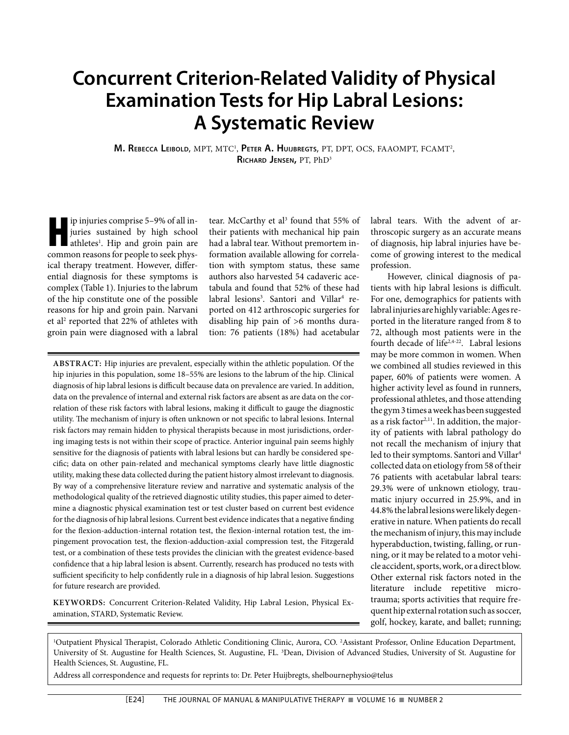# **Concurrent Criterion-Related Validity of Physical Examination Tests for Hip Labral Lesions: A Systematic Review**

**M. Rebecca Leibold**, MPT, MTC1 , **Peter A. Huijbregts**, PT, DPT, OCS, FAAOMPT, FCAMT2 , **Richard Jensen,** PT, PhD3

Ip injuries comprise 5–9% of all in-<br>juries sustained by high school<br>athletes<sup>1</sup>. Hip and groin pain are<br>common reasons for people to seek phys juries sustained by high school common reasons for people to seek physical therapy treatment. However, differential diagnosis for these symptoms is complex (Table 1). Injuries to the labrum of the hip constitute one of the possible reasons for hip and groin pain. Narvani et al<sup>2</sup> reported that 22% of athletes with groin pain were diagnosed with a labral

tear. McCarthy et al<sup>3</sup> found that 55% of their patients with mechanical hip pain had a labral tear. Without premortem information available allowing for correlation with symptom status, these same authors also harvested 54 cadaveric acetabula and found that 52% of these had labral lesions<sup>3</sup>. Santori and Villar<sup>4</sup> reported on 412 arthroscopic surgeries for disabling hip pain of >6 months duration: 76 patients (18%) had acetabular

**Abstract:** Hip injuries are prevalent, especially within the athletic population. Of the hip injuries in this population, some 18–55% are lesions to the labrum of the hip. Clinical diagnosis of hip labral lesions is difficult because data on prevalence are varied. In addition, data on the prevalence of internal and external risk factors are absent as are data on the correlation of these risk factors with labral lesions, making it difficult to gauge the diagnostic utility. The mechanism of injury is often unknown or not specific to labral lesions. Internal risk factors may remain hidden to physical therapists because in most jurisdictions, ordering imaging tests is not within their scope of practice. Anterior inguinal pain seems highly sensitive for the diagnosis of patients with labral lesions but can hardly be considered specific; data on other pain-related and mechanical symptoms clearly have little diagnostic utility, making these data collected during the patient history almost irrelevant to diagnosis. By way of a comprehensive literature review and narrative and systematic analysis of the methodological quality of the retrieved diagnostic utility studies, this paper aimed to determine a diagnostic physical examination test or test cluster based on current best evidence for the diagnosis of hip labral lesions. Current best evidence indicates that a negative finding for the flexion-adduction-internal rotation test, the flexion-internal rotation test, the impingement provocation test, the flexion-adduction-axial compression test, the Fitzgerald test, or a combination of these tests provides the clinician with the greatest evidence-based confidence that a hip labral lesion is absent. Currently, research has produced no tests with sufficient specificity to help confidently rule in a diagnosis of hip labral lesion. Suggestions for future research are provided.

**Keywords:** Concurrent Criterion-Related Validity, Hip Labral Lesion, Physical Examination, STARD, Systematic Review.

labral tears. With the advent of arthroscopic surgery as an accurate means of diagnosis, hip labral injuries have become of growing interest to the medical profession.

However, clinical diagnosis of patients with hip labral lesions is difficult. For one, demographics for patients with labral injuries are highly variable: Ages reported in the literature ranged from 8 to 72, although most patients were in the fourth decade of life2,4-22. Labral lesions may be more common in women. When we combined all studies reviewed in this paper, 60% of patients were women. A higher activity level as found in runners, professional athletes, and those attending the gym 3 times a week has been suggested as a risk factor<sup>2,11</sup>. In addition, the majority of patients with labral pathology do not recall the mechanism of injury that led to their symptoms. Santori and Villar<sup>4</sup> collected data on etiology from 58 of their 76 patients with acetabular labral tears: 29.3% were of unknown etiology, traumatic injury occurred in 25.9%, and in 44.8% the labral lesions were likely degenerative in nature. When patients do recall the mechanism of injury, this may include hyperabduction, twisting, falling, or running, or it may be related to a motor vehicle accident, sports, work, or a direct blow. Other external risk factors noted in the literature include repetitive microtrauma; sports activities that require frequent hip external rotation such as soccer, golf, hockey, karate, and ballet; running;

<sup>1</sup>Outpatient Physical Therapist, Colorado Athletic Conditioning Clinic, Aurora, CO. <sup>2</sup>Assistant Professor, Online Education Department, University of St. Augustine for Health Sciences, St. Augustine, FL. <sup>3</sup>Dean, Division of Advanced Studies, University of St. Augustine for Health Sciences, St. Augustine, FL.

Address all correspondence and requests for reprints to: Dr. Peter Huijbregts, shelbournephysio@telus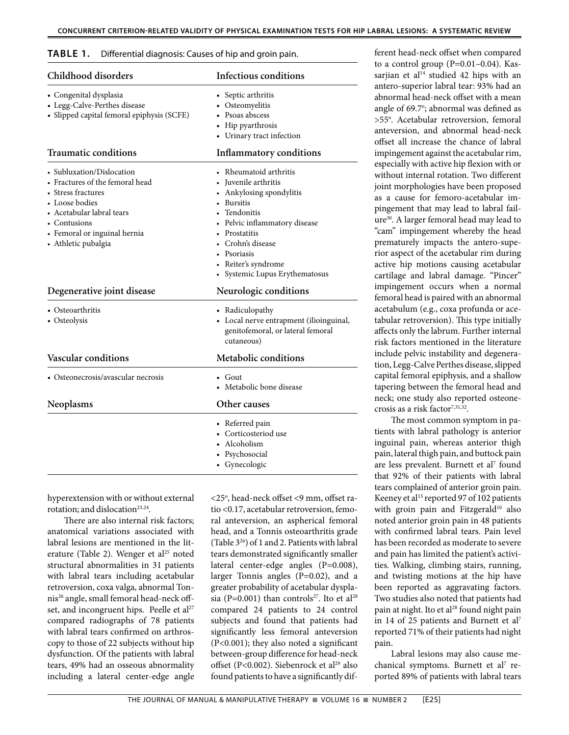#### **Table 1.** Differential diagnosis: Causes of hip and groin pain.

| Childhood disorders                                                                                                                                                                                      | Infectious conditions                                                                                                                                                                                                                 |
|----------------------------------------------------------------------------------------------------------------------------------------------------------------------------------------------------------|---------------------------------------------------------------------------------------------------------------------------------------------------------------------------------------------------------------------------------------|
| • Congenital dysplasia<br>• Legg-Calve-Perthes disease<br>· Slipped capital femoral epiphysis (SCFE)<br><b>Traumatic conditions</b>                                                                      | • Septic arthritis<br>• Osteomyelitis<br>Psoas abscess<br>Hip pyarthrosis<br>• Urinary tract infection                                                                                                                                |
|                                                                                                                                                                                                          | <b>Inflammatory conditions</b>                                                                                                                                                                                                        |
| • Subluxation/Dislocation<br>• Fractures of the femoral head<br>• Stress fractures<br>• Loose bodies<br>• Acetabular labral tears<br>• Contusions<br>• Femoral or inguinal hernia<br>• Athletic pubalgia | • Rheumatoid arthritis<br>Juvenile arthritis<br>Ankylosing spondylitis<br>Bursitis<br>Tendonitis<br>Pelvic inflammatory disease<br>Prostatitis<br>Crohn's disease<br>Psoriasis<br>Reiter's syndrome<br>• Systemic Lupus Erythematosus |
| Degenerative joint disease                                                                                                                                                                               | Neurologic conditions                                                                                                                                                                                                                 |
| • Osteoarthritis<br>• Osteolysis                                                                                                                                                                         | • Radiculopathy<br>• Local nerve entrapment (ilioinguinal,<br>genitofemoral, or lateral femoral<br>cutaneous)                                                                                                                         |
| <b>Vascular conditions</b>                                                                                                                                                                               | <b>Metabolic conditions</b>                                                                                                                                                                                                           |
| • Osteonecrosis/avascular necrosis                                                                                                                                                                       | • Gout<br>Metabolic bone disease                                                                                                                                                                                                      |
| Neoplasms                                                                                                                                                                                                | Other causes                                                                                                                                                                                                                          |
|                                                                                                                                                                                                          | • Referred pain<br>• Corticosteriod use<br>Alcoholism<br>Psychosocial<br>• Gynecologic                                                                                                                                                |

hyperextension with or without external rotation; and dislocation $23,24$ .

There are also internal risk factors; anatomical variations associated with labral lesions are mentioned in the literature (Table 2). Wenger et al<sup>25</sup> noted structural abnormalities in 31 patients with labral tears including acetabular retroversion, coxa valga, abnormal Tonnis<sup>26</sup> angle, small femoral head-neck offset, and incongruent hips. Peelle et al<sup>27</sup> compared radiographs of 78 patients with labral tears confirmed on arthroscopy to those of 22 subjects without hip dysfunction. Of the patients with labral tears, 49% had an osseous abnormality including a lateral center-edge angle

<25°, head-neck offset <9 mm, offset ratio <0.17, acetabular retroversion, femoral anteversion, an aspherical femoral head, and a Tonnis osteoarthritis grade (Table 326) of 1 and 2. Patients with labral tears demonstrated significantly smaller lateral center-edge angles (P=0.008), larger Tonnis angles (P=0.02), and a greater probability of acetabular dysplasia (P=0.001) than controls<sup>27</sup>. Ito et al<sup>28</sup> compared 24 patients to 24 control subjects and found that patients had significantly less femoral anteversion (P<0.001); they also noted a significant between-group difference for head-neck offset (P<0.002). Siebenrock et al<sup>29</sup> also found patients to have a significantly different head-neck offset when compared to a control group  $(P=0.01-0.04)$ . Kassarjian et al<sup>14</sup> studied 42 hips with an antero-superior labral tear: 93% had an abnormal head-neck offset with a mean angle of 69.7°; abnormal was defined as >55°. Acetabular retroversion, femoral anteversion, and abnormal head-neck offset all increase the chance of labral impingement against the acetabular rim, especially with active hip flexion with or without internal rotation. Two different joint morphologies have been proposed as a cause for femoro-acetabular impingement that may lead to labral failure<sup>30</sup>. A larger femoral head may lead to "cam" impingement whereby the head prematurely impacts the antero-superior aspect of the acetabular rim during active hip motions causing acetabular cartilage and labral damage. "Pincer" impingement occurs when a normal femoral head is paired with an abnormal acetabulum (e.g., coxa profunda or acetabular retroversion). This type initially affects only the labrum. Further internal risk factors mentioned in the literature include pelvic instability and degeneration, Legg-Calve Perthes disease, slipped capital femoral epiphysis, and a shallow tapering between the femoral head and neck; one study also reported osteonecrosis as a risk factor<sup>7,31,32</sup>.

The most common symptom in patients with labral pathology is anterior inguinal pain, whereas anterior thigh pain, lateral thigh pain, and buttock pain are less prevalent. Burnett et al<sup>7</sup> found that 92% of their patients with labral tears complained of anterior groin pain. Keeney et al<sup>15</sup> reported 97 of 102 patients with groin pain and Fitzgerald<sup>10</sup> also noted anterior groin pain in 48 patients with confirmed labral tears. Pain level has been recorded as moderate to severe and pain has limited the patient's activities. Walking, climbing stairs, running, and twisting motions at the hip have been reported as aggravating factors. Two studies also noted that patients had pain at night. Ito et al<sup>28</sup> found night pain in 14 of 25 patients and Burnett et al7 reported 71% of their patients had night pain.

Labral lesions may also cause mechanical symptoms. Burnett et al<sup>7</sup> reported 89% of patients with labral tears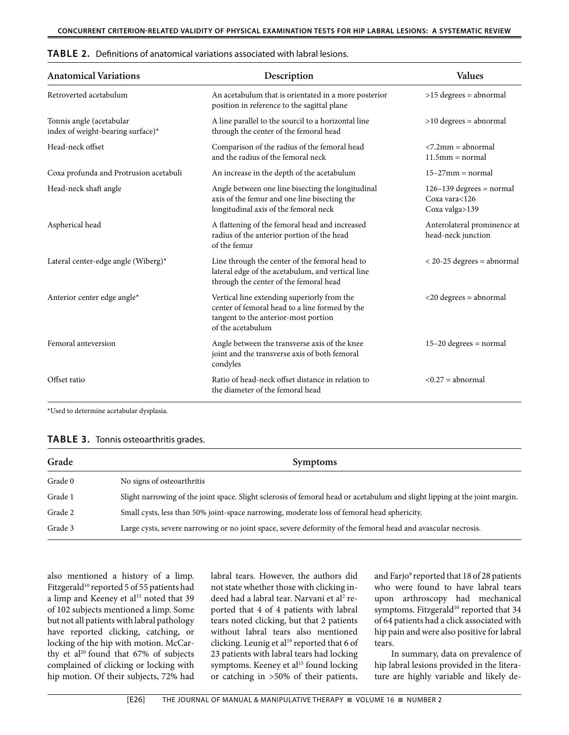#### **Table 2.** Definitions of anatomical variations associated with labral lesions.

| <b>Anatomical Variations</b>                                  | Description                                                                                                                                                | <b>Values</b>                                                 |
|---------------------------------------------------------------|------------------------------------------------------------------------------------------------------------------------------------------------------------|---------------------------------------------------------------|
| Retroverted acetabulum                                        | An acetabulum that is orientated in a more posterior<br>position in reference to the sagittal plane                                                        | $>15$ degrees = abnormal                                      |
| Tonnis angle (acetabular<br>index of weight-bearing surface)* | A line parallel to the sourcil to a horizontal line<br>through the center of the femoral head                                                              | $>10$ degrees = abnormal                                      |
| Head-neck offset                                              | Comparison of the radius of the femoral head<br>and the radius of the femoral neck                                                                         | $< 7.2$ mm = abnormal<br>$11.5$ mm = normal                   |
| Coxa profunda and Protrusion acetabuli                        | An increase in the depth of the acetabulum                                                                                                                 | $15-27$ mm = normal                                           |
| Head-neck shaft angle                                         | Angle between one line bisecting the longitudinal<br>axis of the femur and one line bisecting the<br>longitudinal axis of the femoral neck                 | $126-139$ degrees = normal<br>Coxa vara<126<br>Coxa valga>139 |
| Aspherical head                                               | A flattening of the femoral head and increased<br>radius of the anterior portion of the head<br>of the femur                                               | Anterolateral prominence at<br>head-neck junction             |
| Lateral center-edge angle (Wiberg)*                           | Line through the center of the femoral head to<br>lateral edge of the acetabulum, and vertical line<br>through the center of the femoral head              | $<$ 20-25 degrees = abnormal                                  |
| Anterior center edge angle*                                   | Vertical line extending superiorly from the<br>center of femoral head to a line formed by the<br>tangent to the anterior-most portion<br>of the acetabulum | $<$ 20 degrees = abnormal                                     |
| Femoral anteversion                                           | Angle between the transverse axis of the knee<br>joint and the transverse axis of both femoral<br>condyles                                                 | $15-20$ degrees = normal                                      |
| Offset ratio                                                  | Ratio of head-neck offset distance in relation to<br>the diameter of the femoral head                                                                      | $< 0.27$ = abnormal                                           |

\*Used to determine acetabular dysplasia.

## **Table 3.** Tonnis osteoarthritis grades.

| Grade   | <b>Symptoms</b>                                                                                                             |
|---------|-----------------------------------------------------------------------------------------------------------------------------|
| Grade 0 | No signs of osteoarthritis                                                                                                  |
| Grade 1 | Slight narrowing of the joint space. Slight sclerosis of femoral head or acetabulum and slight lipping at the joint margin. |
| Grade 2 | Small cysts, less than 50% joint-space narrowing, moderate loss of femoral head sphericity.                                 |
| Grade 3 | Large cysts, severe narrowing or no joint space, severe deformity of the femoral head and avascular necrosis.               |

also mentioned a history of a limp. Fitzgerald<sup>10</sup> reported 5 of 55 patients had a limp and Keeney et al<sup>15</sup> noted that 39 of 102 subjects mentioned a limp. Some but not all patients with labral pathology have reported clicking, catching, or locking of the hip with motion. McCarthy et al<sup>20</sup> found that 67% of subjects complained of clicking or locking with hip motion. Of their subjects, 72% had

labral tears. However, the authors did not state whether those with clicking indeed had a labral tear. Narvani et al<sup>2</sup> reported that 4 of 4 patients with labral tears noted clicking, but that 2 patients without labral tears also mentioned clicking. Leunig et al<sup>19</sup> reported that 6 of 23 patients with labral tears had locking symptoms. Keeney et al<sup>15</sup> found locking or catching in >50% of their patients,

and Farjo<sup>9</sup> reported that 18 of 28 patients who were found to have labral tears upon arthroscopy had mechanical symptoms. Fitzgerald<sup>10</sup> reported that 34 of 64 patients had a click associated with hip pain and were also positive for labral tears.

In summary, data on prevalence of hip labral lesions provided in the literature are highly variable and likely de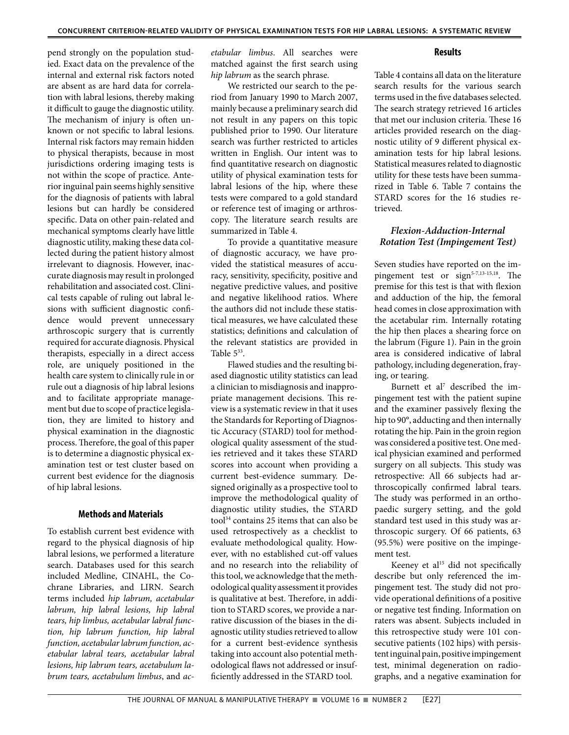pend strongly on the population studied. Exact data on the prevalence of the internal and external risk factors noted are absent as are hard data for correlation with labral lesions, thereby making it difficult to gauge the diagnostic utility. The mechanism of injury is often unknown or not specific to labral lesions. Internal risk factors may remain hidden to physical therapists, because in most jurisdictions ordering imaging tests is not within the scope of practice. Anterior inguinal pain seems highly sensitive for the diagnosis of patients with labral lesions but can hardly be considered specific. Data on other pain-related and mechanical symptoms clearly have little diagnostic utility, making these data collected during the patient history almost irrelevant to diagnosis. However, inaccurate diagnosis may result in prolonged rehabilitation and associated cost. Clinical tests capable of ruling out labral lesions with sufficient diagnostic confidence would prevent unnecessary arthroscopic surgery that is currently required for accurate diagnosis. Physical therapists, especially in a direct access role, are uniquely positioned in the health care system to clinically rule in or rule out a diagnosis of hip labral lesions and to facilitate appropriate management but due to scope of practice legislation, they are limited to history and physical examination in the diagnostic process. Therefore, the goal of this paper is to determine a diagnostic physical examination test or test cluster based on current best evidence for the diagnosis of hip labral lesions.

#### **Methods and Materials**

To establish current best evidence with regard to the physical diagnosis of hip labral lesions, we performed a literature search. Databases used for this search included Medline, CINAHL, the Cochrane Libraries, and LIRN. Search terms included *hip labrum, acetabular labrum, hip labral lesions, hip labral tears, hip limbus, acetabular labral function, hip labrum function, hip labral function, acetabular labrum function, acetabular labral tears, acetabular labral lesions, hip labrum tears, acetabulum labrum tears, acetabulum limbus*, and *ac-* *etabular limbus*. All searches were matched against the first search using *hip labrum* as the search phrase.

We restricted our search to the period from January 1990 to March 2007, mainly because a preliminary search did not result in any papers on this topic published prior to 1990. Our literature search was further restricted to articles written in English. Our intent was to find quantitative research on diagnostic utility of physical examination tests for labral lesions of the hip, where these tests were compared to a gold standard or reference test of imaging or arthroscopy. The literature search results are summarized in Table 4.

To provide a quantitative measure of diagnostic accuracy, we have provided the statistical measures of accuracy, sensitivity, specificity, positive and negative predictive values, and positive and negative likelihood ratios. Where the authors did not include these statistical measures, we have calculated these statistics; definitions and calculation of the relevant statistics are provided in Table  $5^{33}$ .

Flawed studies and the resulting biased diagnostic utility statistics can lead a clinician to misdiagnosis and inappropriate management decisions. This review is a systematic review in that it uses the Standards for Reporting of Diagnostic Accuracy (STARD) tool for methodological quality assessment of the studies retrieved and it takes these STARD scores into account when providing a current best-evidence summary. Designed originally as a prospective tool to improve the methodological quality of diagnostic utility studies, the STARD tool<sup>34</sup> contains 25 items that can also be used retrospectively as a checklist to evaluate methodological quality. However, with no established cut-off values and no research into the reliability of this tool, we acknowledge that the methodological quality assessment it provides is qualitative at best. Therefore, in addition to STARD scores, we provide a narrative discussion of the biases in the diagnostic utility studies retrieved to allow for a current best-evidence synthesis taking into account also potential methodological flaws not addressed or insufficiently addressed in the STARD tool.

#### **Results**

Table 4 contains all data on the literature search results for the various search terms used in the five databases selected. The search strategy retrieved 16 articles that met our inclusion criteria. These 16 articles provided research on the diagnostic utility of 9 different physical examination tests for hip labral lesions. Statistical measures related to diagnostic utility for these tests have been summarized in Table 6. Table 7 contains the STARD scores for the 16 studies retrieved.

#### *Flexion-Adduction-Internal Rotation Test (Impingement Test)*

Seven studies have reported on the impingement test or sign<sup>5-7,13-15,18</sup>. The premise for this test is that with flexion and adduction of the hip, the femoral head comes in close approximation with the acetabular rim. Internally rotating the hip then places a shearing force on the labrum (Figure 1). Pain in the groin area is considered indicative of labral pathology, including degeneration, fraying, or tearing.

Burnett et al<sup>7</sup> described the impingement test with the patient supine and the examiner passively flexing the hip to 90°, adducting and then internally rotating the hip. Pain in the groin region was considered a positive test. One medical physician examined and performed surgery on all subjects. This study was retrospective: All 66 subjects had arthroscopically confirmed labral tears. The study was performed in an orthopaedic surgery setting, and the gold standard test used in this study was arthroscopic surgery. Of 66 patients, 63 (95.5%) were positive on the impingement test.

Keeney et al<sup>15</sup> did not specifically describe but only referenced the impingement test. The study did not provide operational definitions of a positive or negative test finding. Information on raters was absent. Subjects included in this retrospective study were 101 consecutive patients (102 hips) with persistent inguinal pain, positive impingement test, minimal degeneration on radiographs, and a negative examination for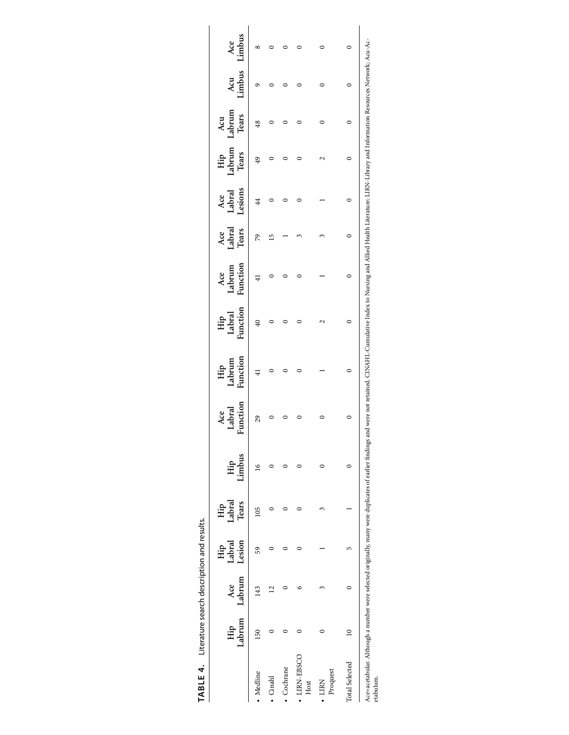|                                                                                                                                                                                     | Hip       | Ace    | Labral<br>Hip | Labral<br>Нiр | Hip    | Labral<br>Ace   | Hip<br>Labrum | Hip<br>Labral   | Ace<br>Labrum | Ace<br>Labral | Labral<br>Ace                                                      | Hip<br>Labrum | Labrum<br>Acu | Acu<br>Limbus | Ace<br>Limbus |
|-------------------------------------------------------------------------------------------------------------------------------------------------------------------------------------|-----------|--------|---------------|---------------|--------|-----------------|---------------|-----------------|---------------|---------------|--------------------------------------------------------------------|---------------|---------------|---------------|---------------|
|                                                                                                                                                                                     | Labrum    | Labrum | Lesion        | Tears         | Limbus | <b>Hunction</b> | Function      | Function        | Function      | Tears         | Lesions                                                            | Tears         | Tears         |               |               |
| • Medline                                                                                                                                                                           | 150       | 143    | 59            | 105           | c      | 29              |               | $\overline{40}$ |               | 29            | 44                                                                 | g             | 48            |               | ∝             |
| . Cinahl                                                                                                                                                                            |           |        |               |               |        |                 |               |                 |               |               |                                                                    |               |               |               |               |
| • Cochrane                                                                                                                                                                          |           |        |               |               |        |                 |               |                 |               |               |                                                                    |               |               |               |               |
| . LIRN-EBSCO<br>Host                                                                                                                                                                |           |        |               |               |        |                 |               |                 |               |               |                                                                    |               |               |               |               |
| Proquest<br>. LIRN                                                                                                                                                                  |           |        |               |               |        |                 |               |                 |               |               |                                                                    |               |               |               |               |
| <b>Total Selected</b>                                                                                                                                                               | $\approx$ |        | 5             |               |        |                 |               |                 |               |               |                                                                    |               |               |               |               |
| Ace=acetabular. Although a number were selected originally, many were duplicates of earlier findings and were not retained. CINAHL-Cumulative Index to Nursing and Allied Health I. |           |        |               |               |        |                 |               |                 |               |               | iterature; LIRN-Library and Information Resources Network; Acu-Ac- |               |               |               |               |

| l<br>i<br>l<br>i<br>i |
|-----------------------|
|                       |
| i                     |
| I                     |
|                       |
|                       |
|                       |
|                       |

Ace=acetabular. Although a number were selected originally, many were duplicates of earlier findings and were not retained. CINAHL-Cumulative Index to Nursing and Allied Health Literature; LIRN-Library and Information Reso etabulum.

etabulum.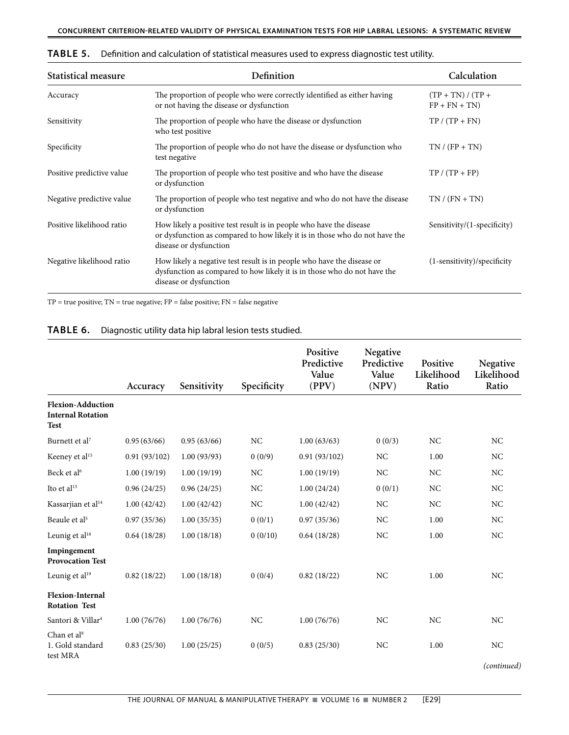| Statistical measure       | Definition                                                                                                                                                                   | Calculation                           |
|---------------------------|------------------------------------------------------------------------------------------------------------------------------------------------------------------------------|---------------------------------------|
| Accuracy                  | The proportion of people who were correctly identified as either having<br>or not having the disease or dysfunction                                                          | $(TP + TN) / (TP +$<br>$FP + FN + TN$ |
| Sensitivity               | The proportion of people who have the disease or dysfunction<br>who test positive                                                                                            | $TP / (TP + FN)$                      |
| Specificity               | The proportion of people who do not have the disease or dysfunction who<br>test negative                                                                                     | $TN / (FP + TN)$                      |
| Positive predictive value | The proportion of people who test positive and who have the disease<br>or dysfunction                                                                                        | $TP / (TP + FP)$                      |
| Negative predictive value | The proportion of people who test negative and who do not have the disease<br>or dysfunction                                                                                 | $TN/(FN + TN)$                        |
| Positive likelihood ratio | How likely a positive test result is in people who have the disease<br>or dysfunction as compared to how likely it is in those who do not have the<br>disease or dysfunction | Sensitivity/(1-specificity)           |
| Negative likelihood ratio | How likely a negative test result is in people who have the disease or<br>dysfunction as compared to how likely it is in those who do not have the<br>disease or dysfunction | (1-sensitivity)/specificity           |

|  | TABLE 5. Definition and calculation of statistical measures used to express diagnostic test utility. |  |  |  |
|--|------------------------------------------------------------------------------------------------------|--|--|--|
|--|------------------------------------------------------------------------------------------------------|--|--|--|

 $\mbox{TP}$  = true positive;<br>  $\mbox{TN}$  = true negative;  $\mbox{FP}$  = false positive;<br>  $\mbox{FN}$  = false negative

# **Table 6.** Diagnostic utility data hip labral lesion tests studied.

|                                                                     | Accuracy     | Sensitivity | Specificity      | Positive<br>Predictive<br>Value<br>(PPV) | Negative<br>Predictive<br>Value<br>(NPV) | Positive<br>Likelihood<br>Ratio | Negative<br>Likelihood<br>Ratio |
|---------------------------------------------------------------------|--------------|-------------|------------------|------------------------------------------|------------------------------------------|---------------------------------|---------------------------------|
| <b>Flexion-Adduction</b><br><b>Internal Rotation</b><br><b>Test</b> |              |             |                  |                                          |                                          |                                 |                                 |
| Burnett et al <sup>7</sup>                                          | 0.95(63/66)  | 0.95(63/66) | N <sub>C</sub>   | 1.00(63/63)                              | 0(0/3)                                   | NC                              | NC                              |
| Keeney et al <sup>15</sup>                                          | 0.91(93/102) | 1.00(93/93) | 0(0/9)           | 0.91(93/102)                             | N <sub>C</sub>                           | 1.00                            | NC                              |
| Beck et al <sup>6</sup>                                             | 1.00(19/19)  | 1.00(19/19) | NC               | 1.00(19/19)                              | NC                                       | NC                              | NC                              |
| Ito et al <sup>13</sup>                                             | 0.96(24/25)  | 0.96(24/25) | N <sub>C</sub>   | 1.00(24/24)                              | 0(0/1)                                   | NC                              | NC                              |
| Kassarjian et al <sup>14</sup>                                      | 1.00(42/42)  | 1.00(42/42) | $_{\mathrm{NC}}$ | 1.00(42/42)                              | NC                                       | NC                              | NC                              |
| Beaule et al <sup>5</sup>                                           | 0.97(35/36)  | 1.00(35/35) | 0(0/1)           | 0.97(35/36)                              | NC                                       | 1.00                            | NC                              |
| Leunig et al <sup>18</sup>                                          | 0.64(18/28)  | 1.00(18/18) | 0(0/10)          | 0.64(18/28)                              | NC                                       | 1.00                            | NC                              |
| Impingement<br><b>Provocation Test</b>                              |              |             |                  |                                          |                                          |                                 |                                 |
| Leunig et al <sup>19</sup>                                          | 0.82(18/22)  | 1.00(18/18) | 0(0/4)           | 0.82(18/22)                              | NC                                       | 1.00                            | NC                              |
| <b>Flexion-Internal</b><br><b>Rotation Test</b>                     |              |             |                  |                                          |                                          |                                 |                                 |
| Santori & Villar <sup>4</sup>                                       | 1.00(76/76)  | 1.00(76/76) | NC               | 1.00(76/76)                              | <b>NC</b>                                | NC                              | NC                              |
| Chan et $al8$<br>1. Gold standard<br>test MRA                       | 0.83(25/30)  | 1.00(25/25) | 0(0/5)           | 0.83(25/30)                              | NC                                       | 1.00                            | NC                              |
|                                                                     |              |             |                  |                                          |                                          |                                 | (continued)                     |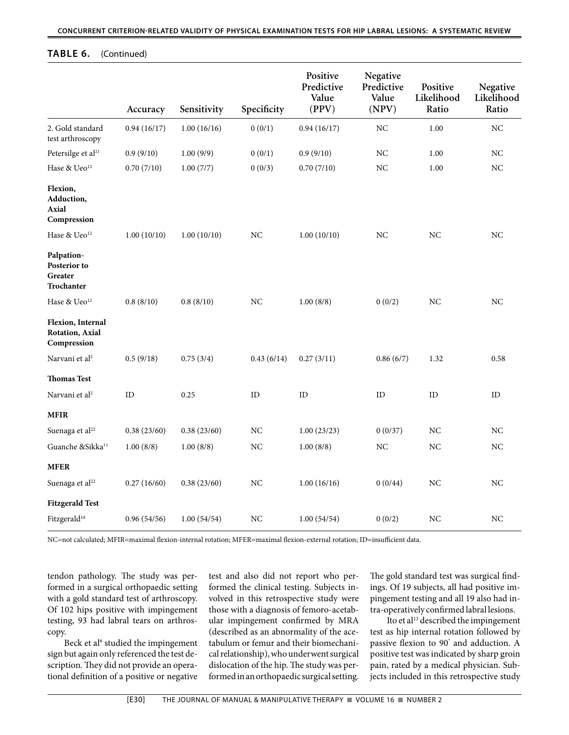|                                                     | Accuracy    | Sensitivity | Specificity      | Positive<br>Predictive<br>Value<br>(PPV) | Negative<br>Predictive<br>Value<br>(NPV) | Positive<br>Likelihood<br>Ratio | Negative<br>Likelihood<br>Ratio |
|-----------------------------------------------------|-------------|-------------|------------------|------------------------------------------|------------------------------------------|---------------------------------|---------------------------------|
| 2. Gold standard<br>test arthroscopy                | 0.94(16/17) | 1.00(16/16) | 0(0/1)           | 0.94(16/17)                              | NC                                       | 1.00                            | NC                              |
| Petersilge et al <sup>21</sup>                      | 0.9(9/10)   | 1.00(9/9)   | 0(0/1)           | 0.9(9/10)                                | NC                                       | 1.00                            | N <sub>C</sub>                  |
| Hase & $\rm{Ueo^{12}}$                              | 0.70(7/10)  | 1.00(7/7)   | 0(0/3)           | 0.70(7/10)                               | NC                                       | 1.00                            | N <sub>C</sub>                  |
| Flexion,<br>Adduction,<br>Axial<br>Compression      |             |             |                  |                                          |                                          |                                 |                                 |
| Hase & $\rm{Ueo^{12}}$                              | 1.00(10/10) | 1.00(10/10) | $\rm NC$         | 1.00(10/10)                              | NC                                       | N <sub>C</sub>                  | NC                              |
| Palpation-<br>Posterior to<br>Greater<br>Trochanter |             |             |                  |                                          |                                          |                                 |                                 |
| Hase & Ueo <sup>12</sup>                            | 0.8(8/10)   | 0.8(8/10)   | NC               | 1.00(8/8)                                | 0(0/2)                                   | N <sub>C</sub>                  | N <sub>C</sub>                  |
| Flexion, Internal<br>Rotation, Axial<br>Compression |             |             |                  |                                          |                                          |                                 |                                 |
| Narvani et al <sup>2</sup>                          | 0.5(9/18)   | 0.75(3/4)   | 0.43(6/14)       | 0.27(3/11)                               | 0.86(6/7)                                | 1.32                            | 0.58                            |
| <b>Thomas Test</b>                                  |             |             |                  |                                          |                                          |                                 |                                 |
| Narvani et al <sup>2</sup>                          | ID          | 0.25        | ID               | ID                                       | ID                                       | ID                              | ID                              |
| <b>MFIR</b>                                         |             |             |                  |                                          |                                          |                                 |                                 |
| Suenaga et al <sup>22</sup>                         | 0.38(23/60) | 0.38(23/60) | NC               | 1.00(23/23)                              | 0(0/37)                                  | N <sub>C</sub>                  | NC                              |
| Guanche &Sikka <sup>11</sup>                        | 1.00(8/8)   | 1.00(8/8)   | $_{\mathrm{NC}}$ | 1.00(8/8)                                | N <sub>C</sub>                           | N <sub>C</sub>                  | NC                              |
| <b>MFER</b>                                         |             |             |                  |                                          |                                          |                                 |                                 |
| Suenaga et al <sup>22</sup>                         | 0.27(16/60) | 0.38(23/60) | N <sub>C</sub>   | 1.00(16/16)                              | 0(0/44)                                  | N <sub>C</sub>                  | N <sub>C</sub>                  |
| <b>Fitzgerald Test</b>                              |             |             |                  |                                          |                                          |                                 |                                 |
| Fitzgerald <sup>10</sup>                            | 0.96(54/56) | 1.00(54/54) | NC               | 1.00(54/54)                              | 0(0/2)                                   | <b>NC</b>                       | N <sub>C</sub>                  |

#### **Table 6.** (Continued)

NC=not calculated; MFIR=maximal flexion-internal rotation; MFER=maximal flexion-external rotation; ID=insufficient data.

tendon pathology. The study was performed in a surgical orthopaedic setting with a gold standard test of arthroscopy. Of 102 hips positive with impingement testing, 93 had labral tears on arthroscopy.

Beck et al<sup>6</sup> studied the impingement sign but again only referenced the test description. They did not provide an operational definition of a positive or negative

test and also did not report who performed the clinical testing. Subjects involved in this retrospective study were those with a diagnosis of femoro-acetabular impingement confirmed by MRA (described as an abnormality of the acetabulum or femur and their biomechanical relationship), who underwent surgical dislocation of the hip. The study was performed in an orthopaedic surgical setting. The gold standard test was surgical findings. Of 19 subjects, all had positive impingement testing and all 19 also had intra-operatively confirmed labral lesions.

Ito et al<sup>13</sup> described the impingement test as hip internal rotation followed by passive flexion to 90° and adduction. A positive test was indicated by sharp groin pain, rated by a medical physician. Subjects included in this retrospective study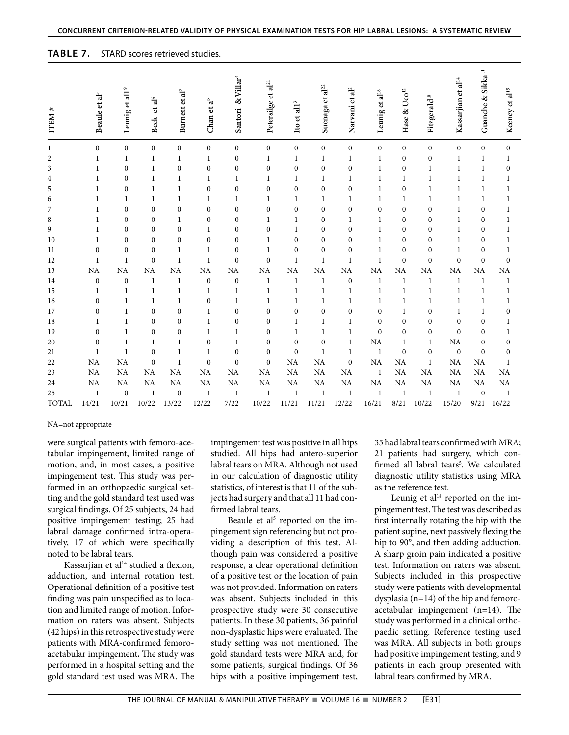| ITEM#              | Beaule et al <sup>5</sup> | Leunig et all <sup>9</sup> | ${\rm et\, al^6}$<br><b>Beck</b> | Burnett et al <sup>7</sup> | Chan et a <sup>18</sup> | Santori & Villar <sup>4</sup> | Petersilge et al <sup>21</sup> | Ito et al $13$   | Suenaga et al $^{22}$ | Narvani et al <sup>2</sup> | Leunig et al <sup>18</sup> | Hase & Ueo <sup>12</sup> | Fitzgerald <sup>10</sup> | Kassarjian et al <sup>14</sup> | Guanche & Sikka <sup>11</sup> | Keeney et al <sup>15</sup> |
|--------------------|---------------------------|----------------------------|----------------------------------|----------------------------|-------------------------|-------------------------------|--------------------------------|------------------|-----------------------|----------------------------|----------------------------|--------------------------|--------------------------|--------------------------------|-------------------------------|----------------------------|
| $\mathbf{1}$       | $\boldsymbol{0}$          | $\boldsymbol{0}$           | $\boldsymbol{0}$                 | $\boldsymbol{0}$           | $\boldsymbol{0}$        | $\boldsymbol{0}$              | $\boldsymbol{0}$               | $\boldsymbol{0}$ | $\boldsymbol{0}$      | $\boldsymbol{0}$           | $\mathbf{0}$               | $\boldsymbol{0}$         | $\mathbf{0}$             | $\boldsymbol{0}$               | $\boldsymbol{0}$              | $\boldsymbol{0}$           |
| $\overline{c}$     | $\mathbf{1}$              | 1                          | $\mathbf{1}$                     | 1                          | $\mathbf{1}$            | $\boldsymbol{0}$              | $\,1$                          | $\,1$            | $\mathbf{1}$          | $\,1$                      | $\mathbf{1}$               | $\boldsymbol{0}$         | $\boldsymbol{0}$         | $\,1$                          | $\,1$                         | $\mathbf{1}$               |
| 3                  | 1                         | $\boldsymbol{0}$           | $\mathbf{1}$                     | $\mathbf{0}$               | $\boldsymbol{0}$        | $\boldsymbol{0}$              | $\boldsymbol{0}$               | $\boldsymbol{0}$ | $\boldsymbol{0}$      | $\boldsymbol{0}$           | $\mathbf{1}$               | $\mathbf{0}$             | 1                        | $\mathbf{1}$                   | $\mathbf{1}$                  | $\boldsymbol{0}$           |
| 4                  | $\mathbf{1}$              | $\boldsymbol{0}$           | $\mathbf{1}$                     | $\mathbf{1}$               | $\mathbf{1}$            | $\mathbf{1}$                  | 1                              | $\mathbf{1}$     | $\mathbf{1}$          | $\mathbf{1}$               | $\mathbf{1}$               | 1                        | $\mathbf{1}$             | $\mathbf{1}$                   | $\mathbf{1}$                  | $\,1$                      |
| 5                  | $\mathbf{1}$              | $\boldsymbol{0}$           | 1                                | $\mathbf{1}$               | $\boldsymbol{0}$        | $\boldsymbol{0}$              | $\boldsymbol{0}$               | $\boldsymbol{0}$ | $\boldsymbol{0}$      | $\boldsymbol{0}$           | $\mathbf{1}$               | $\mathbf{0}$             | $\mathbf{1}$             | $\mathbf 1$                    | $\mathbf{1}$                  | $\,1$                      |
| 6                  | 1                         | 1                          | 1                                | $\mathbf{1}$               | 1                       | 1                             | $\mathbf{1}$                   | 1                | 1                     | $\mathbf{1}$               | $\mathbf{1}$               | 1                        | $\mathbf{1}$             | $\mathbf{1}$                   | $\mathbf{1}$                  | $\mathbf{1}$               |
| 7                  | $\mathbf{1}$              | $\mathbf{0}$               | $\mathbf{0}$                     | $\mathbf{0}$               | $\boldsymbol{0}$        | $\boldsymbol{0}$              | $\boldsymbol{0}$               | $\boldsymbol{0}$ | $\boldsymbol{0}$      | $\boldsymbol{0}$           | $\mathbf{0}$               | $\mathbf{0}$             | $\mathbf{0}$             | $\mathbf 1$                    | $\boldsymbol{0}$              | $\mathbf{1}$               |
| 8                  | $\mathbf{1}$              | $\boldsymbol{0}$           | $\boldsymbol{0}$                 | $\mathbf{1}$               | $\boldsymbol{0}$        | $\boldsymbol{0}$              | $\mathbf{1}$                   | $\mathbf{1}$     | $\boldsymbol{0}$      | $\mathbf{1}$               | $\mathbf{1}$               | $\mathbf{0}$             | $\boldsymbol{0}$         | $\mathbf 1$                    | $\boldsymbol{0}$              | $\mathbf{1}$               |
| 9                  | $\mathbf{1}$              | $\mathbf{0}$               | $\Omega$                         | $\mathbf{0}$               | 1                       | $\boldsymbol{0}$              | $\boldsymbol{0}$               | $\mathbf{1}$     | $\boldsymbol{0}$      | $\boldsymbol{0}$           | $\mathbf{1}$               | $\boldsymbol{0}$         | $\mathbf{0}$             | $\mathbf 1$                    | $\boldsymbol{0}$              | $\mathbf{1}$               |
| $10\,$             | $\mathbf{1}$              | $\mathbf{0}$               | $\boldsymbol{0}$                 | $\mathbf{0}$               | $\boldsymbol{0}$        | $\boldsymbol{0}$              | $\mathbf{1}$                   | $\boldsymbol{0}$ | $\boldsymbol{0}$      | $\boldsymbol{0}$           | $\mathbf{1}$               | $\mathbf{0}$             | $\mathbf{0}$             | $\mathbf 1$                    | $\boldsymbol{0}$              | $\,1$                      |
| 11                 | $\boldsymbol{0}$          | $\mathbf{0}$               | $\boldsymbol{0}$                 | $\mathbf 1$                | $\mathbf{1}$            | $\boldsymbol{0}$              | $\mathbf{1}$                   | $\boldsymbol{0}$ | $\boldsymbol{0}$      | $\boldsymbol{0}$           | $\mathbf{1}$               | $\boldsymbol{0}$         | $\boldsymbol{0}$         | $\mathbf{1}$                   | $\boldsymbol{0}$              | $\mathbf{1}$               |
| 12                 | 1                         | 1                          | $\mathbf{0}$                     | 1                          | $\mathbf{1}$            | $\mathbf{0}$                  | $\boldsymbol{0}$               | $\mathbf{1}$     | 1                     | 1                          | 1                          | $\mathbf{0}$             | $\mathbf{0}$             | $\boldsymbol{0}$               | $\boldsymbol{0}$              | $\boldsymbol{0}$           |
| 13                 | <b>NA</b>                 | <b>NA</b>                  | <b>NA</b>                        | <b>NA</b>                  | <b>NA</b>               | <b>NA</b>                     | <b>NA</b>                      | <b>NA</b>        | <b>NA</b>             | <b>NA</b>                  | <b>NA</b>                  | <b>NA</b>                | <b>NA</b>                | <b>NA</b>                      | <b>NA</b>                     | <b>NA</b>                  |
| 14                 | $\boldsymbol{0}$          | $\boldsymbol{0}$           | $\mathbf{1}$                     | $\mathbf{1}$               | $\boldsymbol{0}$        | $\boldsymbol{0}$              | $\mathbf{1}$                   | $\mathbf{1}$     | $\mathbf{1}$          | $\boldsymbol{0}$           | $\mathbf{1}$               | 1                        | 1                        | $\mathbf{1}$                   | $\mathbf{1}$                  | $\mathbf{1}$               |
| 15                 | 1                         | 1                          | 1                                | $\mathbf{1}$               | $\mathbf{1}$            | 1                             | $\mathbf{1}$                   | $\mathbf{1}$     | 1                     | 1                          | 1                          | 1                        | $\mathbf{1}$             | $\mathbf{1}$                   | $\mathbf{1}$                  | $\mathbf{1}$               |
| 16                 | $\boldsymbol{0}$          | 1                          | 1                                | $\mathbf{1}$               | $\boldsymbol{0}$        | 1                             | $\mathbf{1}$                   | $\mathbf{1}$     | 1                     | 1                          | $\mathbf{1}$               | 1                        | 1                        | 1                              | $\mathbf{1}$                  | $\mathbf{1}$               |
| 17                 | $\mathbf{0}$              | 1                          | $\mathbf{0}$                     | $\mathbf{0}$               | 1                       | $\boldsymbol{0}$              | $\mathbf{0}$                   | $\boldsymbol{0}$ | $\boldsymbol{0}$      | $\boldsymbol{0}$           | $\mathbf{0}$               | 1                        | $\mathbf{0}$             | 1                              | $\mathbf{1}$                  | $\boldsymbol{0}$           |
| 18                 | $\mathbf{1}$              | 1                          | $\mathbf{0}$                     | $\mathbf{0}$               | $\mathbf{1}$            | $\boldsymbol{0}$              | $\mathbf{0}$                   | 1                | 1                     | $\mathbf{1}$               | $\mathbf{0}$               | $\mathbf{0}$             | $\mathbf{0}$             | $\mathbf{0}$                   | $\boldsymbol{0}$              | $\mathbf{1}$               |
| 19                 | $\boldsymbol{0}$          | $\mathbf{1}$               | $\boldsymbol{0}$                 | $\boldsymbol{0}$           | $\mathbf{1}$            | $\mathbf{1}$                  | $\boldsymbol{0}$               | $\mathbf{1}$     | 1                     | $\mathbf{1}$               | $\mathbf{0}$               | $\mathbf{0}$             | $\boldsymbol{0}$         | $\boldsymbol{0}$               | $\boldsymbol{0}$              | $\mathbf{1}$               |
| 20                 | $\boldsymbol{0}$          | 1                          | $\mathbf{1}$                     | $\mathbf{1}$               | $\boldsymbol{0}$        | $\mathbf{1}$                  | $\mathbf{0}$                   | $\mathbf{0}$     | $\boldsymbol{0}$      | $\,1$                      | <b>NA</b>                  | 1                        | $\mathbf{1}$             | <b>NA</b>                      | $\boldsymbol{0}$              | $\boldsymbol{0}$           |
| 21                 | $\mathbf{1}$              | $\mathbf{1}$               | $\mathbf{0}$                     | $\mathbf{1}$               | $\mathbf{1}$            | $\boldsymbol{0}$              | $\mathbf{0}$                   | $\boldsymbol{0}$ | $\mathbf{1}$          | $\mathbf{1}$               | $\mathbf{1}$               | $\mathbf{0}$             | $\mathbf{0}$             | $\boldsymbol{0}$               | $\boldsymbol{0}$              | $\boldsymbol{0}$           |
| 22                 | <b>NA</b>                 | <b>NA</b>                  | $\mathbf{0}$                     | $\bf 1$                    | $\boldsymbol{0}$        | $\boldsymbol{0}$              | $\boldsymbol{0}$               | NA               | NA                    | $\boldsymbol{0}$           | <b>NA</b>                  | $\rm NA$                 | $\mathbf{1}$             | NA                             | <b>NA</b>                     | $\,1$                      |
| 23                 | $\rm NA$                  | <b>NA</b>                  | NA                               | <b>NA</b>                  | <b>NA</b>               | NA                            | NA                             | $\rm NA$         | NA                    | <b>NA</b>                  | $\mathbf{1}$               | $\rm NA$                 | NA                       | NA                             | <b>NA</b>                     | <b>NA</b>                  |
| 24                 | <b>NA</b>                 | <b>NA</b>                  | NA                               | <b>NA</b>                  | <b>NA</b>               | NA                            | <b>NA</b>                      | <b>NA</b>        | NA                    | <b>NA</b>                  | <b>NA</b>                  | NA                       | <b>NA</b>                | <b>NA</b>                      | <b>NA</b>                     | <b>NA</b>                  |
| 25                 | $\mathbf{1}$              | $\mathbf{0}$               | $\mathbf{1}$                     | $\boldsymbol{0}$           | $\mathbf{1}$            | $\mathbf{1}$                  | $\mathbf{1}$                   | $\mathbf{1}$     | $\mathbf{1}$          | $\mathbf{1}$               | $\mathbf{1}$               | 1                        | 1                        | $\mathbf{1}$                   | $\mathbf{0}$                  | $\mathbf{1}$               |
| <b>TOTAL</b>       | 14/21                     | 10/21                      | 10/22                            | 13/22                      | 12/22                   | $7/22$                        | 10/22                          | 11/21            | 11/21                 | 12/22                      | 16/21                      | 8/21                     | 10/22                    | 15/20                          | 9/21                          | 16/22                      |
| NA=not appropriate |                           |                            |                                  |                            |                         |                               |                                |                  |                       |                            |                            |                          |                          |                                |                               |                            |

| TABLE 7. | STARD scores retrieved studies. |
|----------|---------------------------------|
|          |                                 |

were surgical patients with femoro-acetabular impingement, limited range of motion, and, in most cases, a positive impingement test. This study was performed in an orthopaedic surgical setting and the gold standard test used was surgical findings. Of 25 subjects, 24 had positive impingement testing; 25 had labral damage confirmed intra-operatively, 17 of which were specifically noted to be labral tears.

Kassarjian et al $14$  studied a flexion, adduction, and internal rotation test. Operational definition of a positive test finding was pain unspecified as to location and limited range of motion. Information on raters was absent. Subjects (42 hips) in this retrospective study were patients with MRA-confirmed femoroacetabular impingement**.** The study was performed in a hospital setting and the gold standard test used was MRA. The impingement test was positive in all hips studied. All hips had antero-superior labral tears on MRA. Although not used in our calculation of diagnostic utility statistics, of interest is that 11 of the subjects had surgery and that all 11 had confirmed labral tears.

Beaule et al<sup>5</sup> reported on the impingement sign referencing but not providing a description of this test. Although pain was considered a positive response, a clear operational definition of a positive test or the location of pain was not provided. Information on raters was absent. Subjects included in this prospective study were 30 consecutive patients. In these 30 patients, 36 painful non-dysplastic hips were evaluated. The study setting was not mentioned. The gold standard tests were MRA and, for some patients, surgical findings. Of 36 hips with a positive impingement test,

35 had labral tears confirmed with MRA; 21 patients had surgery, which confirmed all labral tears<sup>5</sup>. We calculated diagnostic utility statistics using MRA as the reference test.

Leunig et al $18$  reported on the impingement test. The test was described as first internally rotating the hip with the patient supine, next passively flexing the hip to 90°, and then adding adduction. A sharp groin pain indicated a positive test. Information on raters was absent. Subjects included in this prospective study were patients with developmental dysplasia (n=14) of the hip and femoroacetabular impingement (n=14). The study was performed in a clinical orthopaedic setting. Reference testing used was MRA. All subjects in both groups had positive impingement testing, and 9 patients in each group presented with labral tears confirmed by MRA.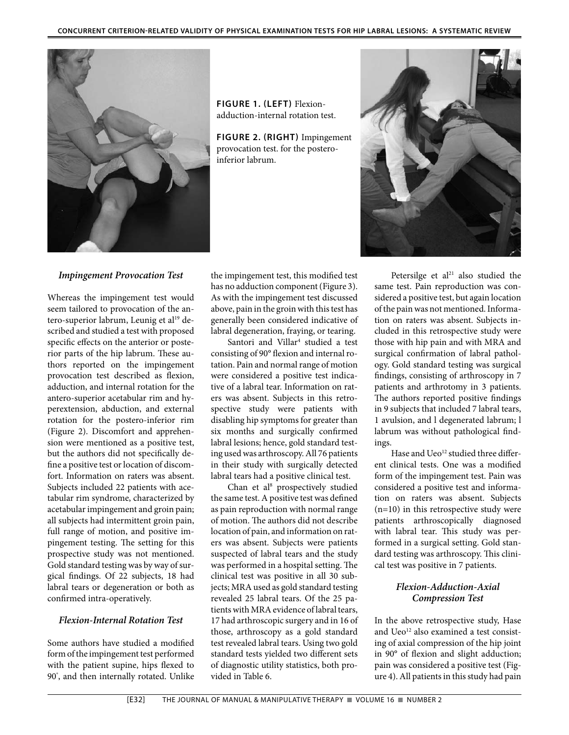

**Figure 1. (left)** Flexionadduction-internal rotation test.

**FIGURE 2. (RIGHT)** Impingement provocation test. for the posteroinferior labrum.

*Impingement Provocation Test*

Whereas the impingement test would seem tailored to provocation of the antero-superior labrum, Leunig et al<sup>19</sup> described and studied a test with proposed specific effects on the anterior or posterior parts of the hip labrum. These authors reported on the impingement provocation test described as flexion, adduction, and internal rotation for the antero-superior acetabular rim and hyperextension, abduction, and external rotation for the postero-inferior rim (Figure 2). Discomfort and apprehension were mentioned as a positive test, but the authors did not specifically define a positive test or location of discomfort. Information on raters was absent. Subjects included 22 patients with acetabular rim syndrome, characterized by acetabular impingement and groin pain; all subjects had intermittent groin pain, full range of motion, and positive impingement testing. The setting for this prospective study was not mentioned. Gold standard testing was by way of surgical findings. Of 22 subjects, 18 had labral tears or degeneration or both as confirmed intra-operatively.

## *Flexion-Internal Rotation Test*

Some authors have studied a modified form of the impingement test performed with the patient supine, hips flexed to 90° , and then internally rotated. Unlike the impingement test, this modified test has no adduction component (Figure 3). As with the impingement test discussed above, pain in the groin with this test has generally been considered indicative of labral degeneration, fraying, or tearing.

Santori and Villar<sup>4</sup> studied a test consisting of 90° flexion and internal rotation. Pain and normal range of motion were considered a positive test indicative of a labral tear. Information on raters was absent. Subjects in this retrospective study were patients with disabling hip symptoms for greater than six months and surgically confirmed labral lesions; hence, gold standard testing used was arthroscopy. All 76 patients in their study with surgically detected labral tears had a positive clinical test.

Chan et al<sup>8</sup> prospectively studied the same test. A positive test was defined as pain reproduction with normal range of motion. The authors did not describe location of pain, and information on raters was absent. Subjects were patients suspected of labral tears and the study was performed in a hospital setting. The clinical test was positive in all 30 subjects; MRA used as gold standard testing revealed 25 labral tears. Of the 25 patients with MRA evidence of labral tears, 17 had arthroscopic surgery and in 16 of those, arthroscopy as a gold standard test revealed labral tears. Using two gold standard tests yielded two different sets of diagnostic utility statistics, both provided in Table 6.



Petersilge et al<sup>21</sup> also studied the same test. Pain reproduction was considered a positive test, but again location of the pain was not mentioned. Information on raters was absent. Subjects included in this retrospective study were those with hip pain and with MRA and surgical confirmation of labral pathology. Gold standard testing was surgical findings, consisting of arthroscopy in 7 patients and arthrotomy in 3 patients. The authors reported positive findings in 9 subjects that included 7 labral tears, 1 avulsion, and l degenerated labrum; l labrum was without pathological findings.

Hase and Ueo<sup>12</sup> studied three different clinical tests. One was a modified form of the impingement test. Pain was considered a positive test and information on raters was absent. Subjects (n=10) in this retrospective study were patients arthroscopically diagnosed with labral tear. This study was performed in a surgical setting. Gold standard testing was arthroscopy. This clinical test was positive in 7 patients.

# *Flexion-Adduction-Axial Compression Test*

In the above retrospective study, Hase and Ueo<sup>12</sup> also examined a test consisting of axial compression of the hip joint in 90° of flexion and slight adduction; pain was considered a positive test (Figure 4). All patients in this study had pain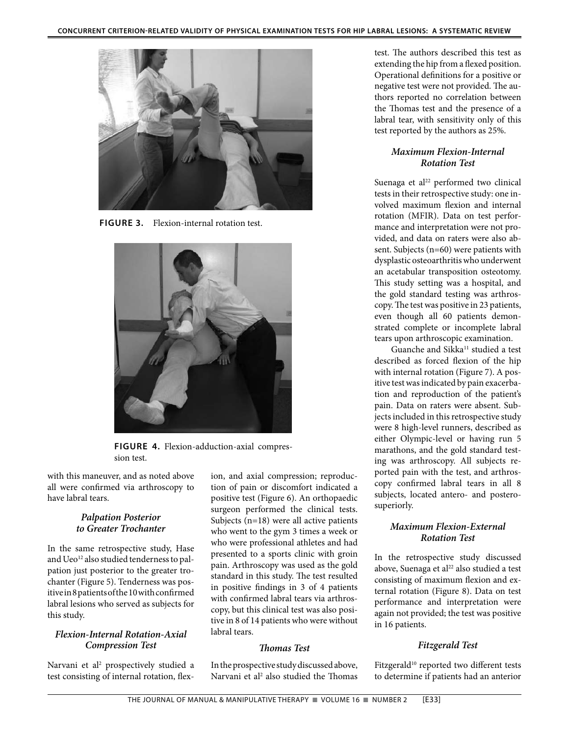

**FIGURE 3.** Flexion-internal rotation test.



**Figure 4.** Flexion-adduction-axial compression test.

with this maneuver, and as noted above all were confirmed via arthroscopy to have labral tears.

## *Palpation Posterior to Greater Trochanter*

In the same retrospective study, Hase and Ueo<sup>12</sup> also studied tenderness to palpation just posterior to the greater trochanter (Figure 5). Tenderness was positive in 8 patients of the 10 with confirmed labral lesions who served as subjects for this study.

# *Flexion-Internal Rotation-Axial Compression Test*

Narvani et al<sup>2</sup> prospectively studied a test consisting of internal rotation, flexion, and axial compression; reproduction of pain or discomfort indicated a positive test (Figure 6). An orthopaedic surgeon performed the clinical tests. Subjects (n=18) were all active patients who went to the gym 3 times a week or who were professional athletes and had presented to a sports clinic with groin pain. Arthroscopy was used as the gold standard in this study. The test resulted in positive findings in 3 of 4 patients with confirmed labral tears via arthroscopy, but this clinical test was also positive in 8 of 14 patients who were without labral tears.

# *Thomas Test*

In the prospective study discussed above, Narvani et al<sup>2</sup> also studied the Thomas test. The authors described this test as extending the hip from a flexed position. Operational definitions for a positive or negative test were not provided. The authors reported no correlation between the Thomas test and the presence of a labral tear, with sensitivity only of this test reported by the authors as 25%.

# *Maximum Flexion-Internal Rotation Test*

Suenaga et al<sup>22</sup> performed two clinical tests in their retrospective study: one involved maximum flexion and internal rotation (MFIR). Data on test performance and interpretation were not provided, and data on raters were also absent. Subjects (n=60) were patients with dysplastic osteoarthritis who underwent an acetabular transposition osteotomy. This study setting was a hospital, and the gold standard testing was arthroscopy. The test was positive in 23 patients, even though all 60 patients demonstrated complete or incomplete labral tears upon arthroscopic examination.

Guanche and Sikka<sup>11</sup> studied a test described as forced flexion of the hip with internal rotation (Figure 7). A positive test was indicated by pain exacerbation and reproduction of the patient's pain. Data on raters were absent. Subjects included in this retrospective study were 8 high-level runners, described as either Olympic-level or having run 5 marathons, and the gold standard testing was arthroscopy. All subjects reported pain with the test, and arthroscopy confirmed labral tears in all 8 subjects, located antero- and posterosuperiorly.

# *Maximum Flexion-External Rotation Test*

In the retrospective study discussed above, Suenaga et al<sup>22</sup> also studied a test consisting of maximum flexion and external rotation (Figure 8). Data on test performance and interpretation were again not provided; the test was positive in 16 patients.

## *Fitzgerald Test*

Fitzgerald<sup>10</sup> reported two different tests to determine if patients had an anterior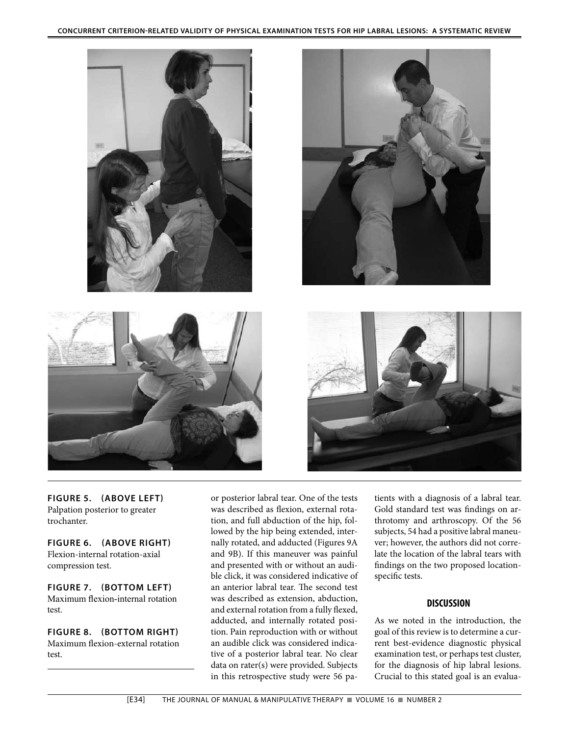

**Figure 5. (above left)**  Palpation posterior to greater trochanter.

**Figure 6. (above right)**  Flexion-internal rotation-axial compression test.

**Figure 7. (bottom left)** Maximum flexion-internal rotation test.

**Figure 8. (bottom right)**  Maximum flexion-external rotation test.

or posterior labral tear. One of the tests was described as flexion, external rotation, and full abduction of the hip, followed by the hip being extended, internally rotated, and adducted (Figures 9A and 9B). If this maneuver was painful and presented with or without an audible click, it was considered indicative of an anterior labral tear. The second test was described as extension, abduction, and external rotation from a fully flexed, adducted, and internally rotated position. Pain reproduction with or without an audible click was considered indicative of a posterior labral tear. No clear data on rater(s) were provided. Subjects in this retrospective study were 56 patients with a diagnosis of a labral tear. Gold standard test was findings on arthrotomy and arthroscopy. Of the 56 subjects, 54 had a positive labral maneuver; however, the authors did not correlate the location of the labral tears with findings on the two proposed locationspecific tests.

## **DISCUSSION**

As we noted in the introduction, the goal of this review is to determine a current best-evidence diagnostic physical examination test, or perhaps test cluster, for the diagnosis of hip labral lesions. Crucial to this stated goal is an evalua-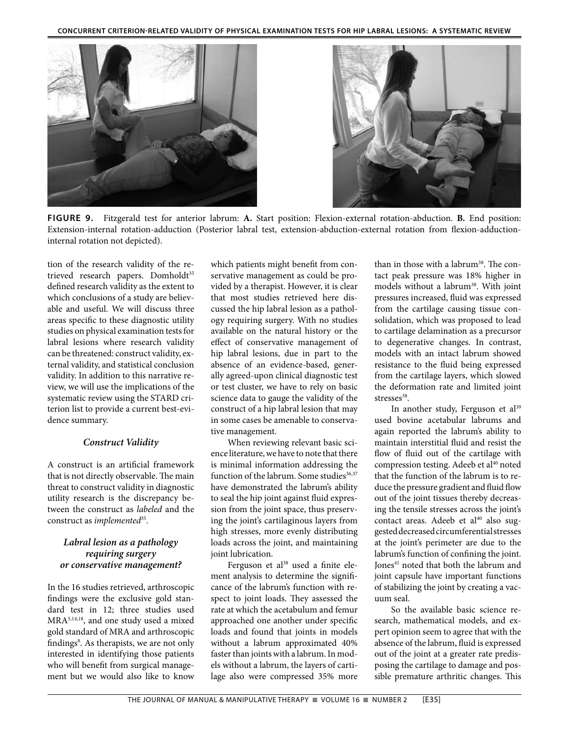

**Figure 9.** Fitzgerald test for anterior labrum: **A.** Start position: Flexion-external rotation-abduction. **B.** End position: Extension-internal rotation-adduction (Posterior labral test, extension-abduction-external rotation from flexion-adductioninternal rotation not depicted).

tion of the research validity of the retrieved research papers. Domholdt<sup>35</sup> defined research validity as the extent to which conclusions of a study are believable and useful. We will discuss three areas specific to these diagnostic utility studies on physical examination tests for labral lesions where research validity can be threatened: construct validity, external validity, and statistical conclusion validity. In addition to this narrative review, we will use the implications of the systematic review using the STARD criterion list to provide a current best-evidence summary.

## *Construct Validity*

A construct is an artificial framework that is not directly observable. The main threat to construct validity in diagnostic utility research is the discrepancy between the construct as *labeled* and the construct as *implemented*35.

## *Labral lesion as a pathology requiring surgery or conservative management?*

In the 16 studies retrieved, arthroscopic findings were the exclusive gold standard test in 12; three studies used MRA5,14,18, and one study used a mixed gold standard of MRA and arthroscopic findings<sup>8</sup>. As therapists, we are not only interested in identifying those patients who will benefit from surgical management but we would also like to know

which patients might benefit from conservative management as could be provided by a therapist. However, it is clear that most studies retrieved here discussed the hip labral lesion as a pathology requiring surgery. With no studies available on the natural history or the effect of conservative management of hip labral lesions, due in part to the absence of an evidence-based, generally agreed-upon clinical diagnostic test or test cluster, we have to rely on basic science data to gauge the validity of the construct of a hip labral lesion that may in some cases be amenable to conservative management.

When reviewing relevant basic science literature, we have to note that there is minimal information addressing the function of the labrum. Some studies<sup>36,37</sup> have demonstrated the labrum's ability to seal the hip joint against fluid expression from the joint space, thus preserving the joint's cartilaginous layers from high stresses, more evenly distributing loads across the joint, and maintaining joint lubrication.

Ferguson et al<sup>38</sup> used a finite element analysis to determine the significance of the labrum's function with respect to joint loads. They assessed the rate at which the acetabulum and femur approached one another under specific loads and found that joints in models without a labrum approximated 40% faster than joints with a labrum. In models without a labrum, the layers of cartilage also were compressed 35% more

than in those with a labrum<sup>38</sup>. The contact peak pressure was 18% higher in models without a labrum<sup>38</sup>. With joint pressures increased, fluid was expressed from the cartilage causing tissue consolidation, which was proposed to lead to cartilage delamination as a precursor to degenerative changes. In contrast, models with an intact labrum showed resistance to the fluid being expressed from the cartilage layers, which slowed the deformation rate and limited joint stresses<sup>38</sup>.

In another study, Ferguson et al<sup>39</sup> used bovine acetabular labrums and again reported the labrum's ability to maintain interstitial fluid and resist the flow of fluid out of the cartilage with compression testing. Adeeb et al<sup>40</sup> noted that the function of the labrum is to reduce the pressure gradient and fluid flow out of the joint tissues thereby decreasing the tensile stresses across the joint's contact areas. Adeeb et al<sup>40</sup> also suggested decreased circumferential stresses at the joint's perimeter are due to the labrum's function of confining the joint. Jones<sup>41</sup> noted that both the labrum and joint capsule have important functions of stabilizing the joint by creating a vacuum seal.

So the available basic science research, mathematical models, and expert opinion seem to agree that with the absence of the labrum, fluid is expressed out of the joint at a greater rate predisposing the cartilage to damage and possible premature arthritic changes. This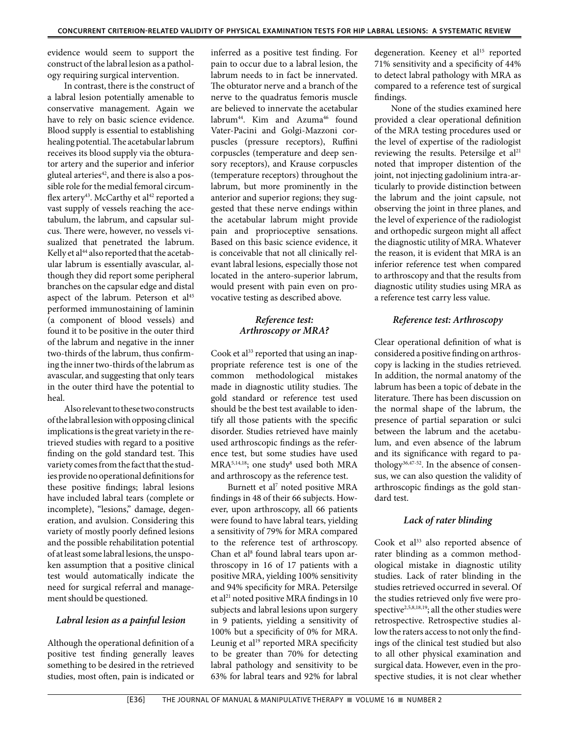evidence would seem to support the construct of the labral lesion as a pathology requiring surgical intervention.

In contrast, there is the construct of a labral lesion potentially amenable to conservative management. Again we have to rely on basic science evidence. Blood supply is essential to establishing healing potential. The acetabular labrum receives its blood supply via the obturator artery and the superior and inferior gluteal arteries $42$ , and there is also a possible role for the medial femoral circumflex artery<sup>43</sup>. McCarthy et al<sup>42</sup> reported a vast supply of vessels reaching the acetabulum, the labrum, and capsular sulcus. There were, however, no vessels visualized that penetrated the labrum. Kelly et al<sup>44</sup> also reported that the acetabular labrum is essentially avascular, although they did report some peripheral branches on the capsular edge and distal aspect of the labrum. Peterson et al<sup>45</sup> performed immunostaining of laminin (a component of blood vessels) and found it to be positive in the outer third of the labrum and negative in the inner two-thirds of the labrum, thus confirming the inner two-thirds of the labrum as avascular, and suggesting that only tears in the outer third have the potential to heal.

Also relevant to these two constructs of the labral lesion with opposing clinical implications is the great variety in the retrieved studies with regard to a positive finding on the gold standard test. This variety comes from the fact that the studies provide no operational definitions for these positive findings; labral lesions have included labral tears (complete or incomplete), "lesions," damage, degeneration, and avulsion. Considering this variety of mostly poorly defined lesions and the possible rehabilitation potential of at least some labral lesions, the unspoken assumption that a positive clinical test would automatically indicate the need for surgical referral and management should be questioned.

## *Labral lesion as a painful lesion*

Although the operational definition of a positive test finding generally leaves something to be desired in the retrieved studies, most often, pain is indicated or inferred as a positive test finding. For pain to occur due to a labral lesion, the labrum needs to in fact be innervated. The obturator nerve and a branch of the nerve to the quadratus femoris muscle are believed to innervate the acetabular labrum<sup>44</sup>. Kim and Azuma<sup>46</sup> found Vater-Pacini and Golgi-Mazzoni corpuscles (pressure receptors), Ruffini corpuscles (temperature and deep sensory receptors), and Krause corpuscles (temperature receptors) throughout the labrum, but more prominently in the anterior and superior regions; they suggested that these nerve endings within the acetabular labrum might provide pain and proprioceptive sensations. Based on this basic science evidence, it is conceivable that not all clinically relevant labral lesions, especially those not located in the antero-superior labrum, would present with pain even on provocative testing as described above.

# *Reference test: Arthroscopy or MRA?*

Cook et al<sup>33</sup> reported that using an inappropriate reference test is one of the common methodological mistakes made in diagnostic utility studies. The gold standard or reference test used should be the best test available to identify all those patients with the specific disorder. Studies retrieved have mainly used arthroscopic findings as the reference test, but some studies have used MRA5,14,18; one study8 used both MRA and arthroscopy as the reference test.

Burnett et al<sup>7</sup> noted positive MRA findings in 48 of their 66 subjects. However, upon arthroscopy, all 66 patients were found to have labral tears, yielding a sensitivity of 79% for MRA compared to the reference test of arthroscopy. Chan et al<sup>8</sup> found labral tears upon arthroscopy in 16 of 17 patients with a positive MRA, yielding 100% sensitivity and 94% specificity for MRA. Petersilge et al<sup>21</sup> noted positive MRA findings in 10 subjects and labral lesions upon surgery in 9 patients, yielding a sensitivity of 100% but a specificity of 0% for MRA. Leunig et al<sup>19</sup> reported MRA specificity to be greater than 70% for detecting labral pathology and sensitivity to be 63% for labral tears and 92% for labral

degeneration. Keeney et al<sup>15</sup> reported 71% sensitivity and a specificity of 44% to detect labral pathology with MRA as compared to a reference test of surgical findings.

None of the studies examined here provided a clear operational definition of the MRA testing procedures used or the level of expertise of the radiologist reviewing the results. Petersilge et al<sup>21</sup> noted that improper distention of the joint, not injecting gadolinium intra-articularly to provide distinction between the labrum and the joint capsule, not observing the joint in three planes, and the level of experience of the radiologist and orthopedic surgeon might all affect the diagnostic utility of MRA. Whatever the reason, it is evident that MRA is an inferior reference test when compared to arthroscopy and that the results from diagnostic utility studies using MRA as a reference test carry less value.

## *Reference test: Arthroscopy*

Clear operational definition of what is considered a positive finding on arthroscopy is lacking in the studies retrieved. In addition, the normal anatomy of the labrum has been a topic of debate in the literature. There has been discussion on the normal shape of the labrum, the presence of partial separation or sulci between the labrum and the acetabulum, and even absence of the labrum and its significance with regard to pathology<sup>36,47-52</sup>. In the absence of consensus, we can also question the validity of arthroscopic findings as the gold standard test.

## *Lack of rater blinding*

Cook et al<sup>33</sup> also reported absence of rater blinding as a common methodological mistake in diagnostic utility studies. Lack of rater blinding in the studies retrieved occurred in several. Of the studies retrieved only five were prospective<sup>2,5,8,18,19</sup>; all the other studies were retrospective. Retrospective studies allow the raters access to not only the findings of the clinical test studied but also to all other physical examination and surgical data. However, even in the prospective studies, it is not clear whether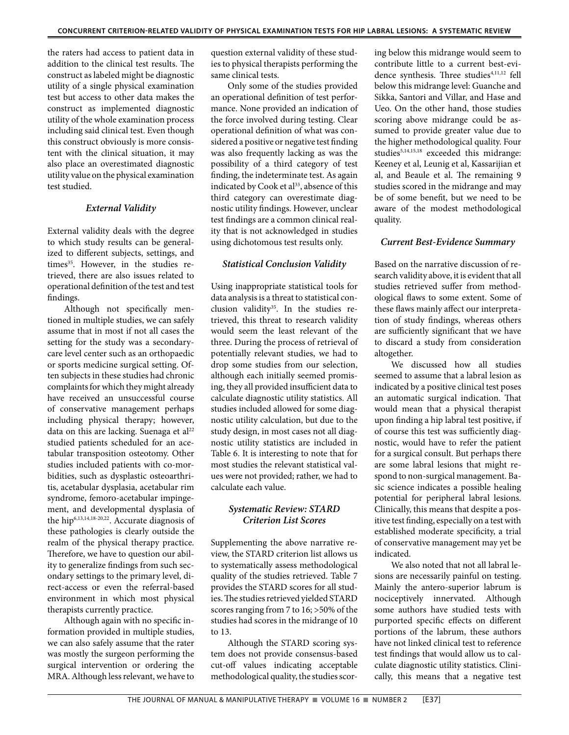the raters had access to patient data in addition to the clinical test results. The construct as labeled might be diagnostic utility of a single physical examination test but access to other data makes the construct as implemented diagnostic utility of the whole examination process including said clinical test. Even though this construct obviously is more consistent with the clinical situation, it may also place an overestimated diagnostic utility value on the physical examination test studied.

#### *External Validity*

External validity deals with the degree to which study results can be generalized to different subjects, settings, and times<sup>35</sup>. However, in the studies retrieved, there are also issues related to operational definition of the test and test findings.

Although not specifically mentioned in multiple studies, we can safely assume that in most if not all cases the setting for the study was a secondarycare level center such as an orthopaedic or sports medicine surgical setting. Often subjects in these studies had chronic complaints for which they might already have received an unsuccessful course of conservative management perhaps including physical therapy; however, data on this are lacking. Suenaga et al<sup>22</sup> studied patients scheduled for an acetabular transposition osteotomy. Other studies included patients with co-morbidities, such as dysplastic osteoarthritis, acetabular dysplasia, acetabular rim syndrome, femoro-acetabular impingement, and developmental dysplasia of the hip6,13,14,18-20,22. Accurate diagnosis of these pathologies is clearly outside the realm of the physical therapy practice. Therefore, we have to question our ability to generalize findings from such secondary settings to the primary level, direct-access or even the referral-based environment in which most physical therapists currently practice.

Although again with no specific information provided in multiple studies, we can also safely assume that the rater was mostly the surgeon performing the surgical intervention or ordering the MRA. Although less relevant, we have to question external validity of these studies to physical therapists performing the same clinical tests.

Only some of the studies provided an operational definition of test performance. None provided an indication of the force involved during testing. Clear operational definition of what was considered a positive or negative test finding was also frequently lacking as was the possibility of a third category of test finding, the indeterminate test. As again indicated by Cook et al<sup>33</sup>, absence of this third category can overestimate diagnostic utility findings. However, unclear test findings are a common clinical reality that is not acknowledged in studies using dichotomous test results only.

#### *Statistical Conclusion Validity*

Using inappropriate statistical tools for data analysis is a threat to statistical conclusion validity<sup>35</sup>. In the studies retrieved, this threat to research validity would seem the least relevant of the three. During the process of retrieval of potentially relevant studies, we had to drop some studies from our selection, although each initially seemed promising, they all provided insufficient data to calculate diagnostic utility statistics. All studies included allowed for some diagnostic utility calculation, but due to the study design, in most cases not all diagnostic utility statistics are included in Table 6. It is interesting to note that for most studies the relevant statistical values were not provided; rather, we had to calculate each value.

#### *Systematic Review: STARD Criterion List Scores*

Supplementing the above narrative review, the STARD criterion list allows us to systematically assess methodological quality of the studies retrieved. Table 7 provides the STARD scores for all studies. The studies retrieved yielded STARD scores ranging from 7 to 16; > 50% of the studies had scores in the midrange of 10 to 13.

Although the STARD scoring system does not provide consensus-based cut-off values indicating acceptable methodological quality, the studies scoring below this midrange would seem to contribute little to a current best-evidence synthesis. Three studies<sup>4,11,12</sup> fell below this midrange level: Guanche and Sikka, Santori and Villar, and Hase and Ueo. On the other hand, those studies scoring above midrange could be assumed to provide greater value due to the higher methodological quality. Four studies<sup>5,14,15,18</sup> exceeded this midrange: Keeney et al, Leunig et al, Kassarijian et al, and Beaule et al. The remaining 9 studies scored in the midrange and may be of some benefit, but we need to be aware of the modest methodological quality.

#### *Current Best-Evidence Summary*

Based on the narrative discussion of research validity above, it is evident that all studies retrieved suffer from methodological flaws to some extent. Some of these flaws mainly affect our interpretation of study findings, whereas others are sufficiently significant that we have to discard a study from consideration altogether.

We discussed how all studies seemed to assume that a labral lesion as indicated by a positive clinical test poses an automatic surgical indication. That would mean that a physical therapist upon finding a hip labral test positive, if of course this test was sufficiently diagnostic, would have to refer the patient for a surgical consult. But perhaps there are some labral lesions that might respond to non-surgical management. Basic science indicates a possible healing potential for peripheral labral lesions. Clinically, this means that despite a positive test finding, especially on a test with established moderate specificity, a trial of conservative management may yet be indicated.

We also noted that not all labral lesions are necessarily painful on testing. Mainly the antero-superior labrum is nociceptively innervated. Although some authors have studied tests with purported specific effects on different portions of the labrum, these authors have not linked clinical test to reference test findings that would allow us to calculate diagnostic utility statistics. Clinically, this means that a negative test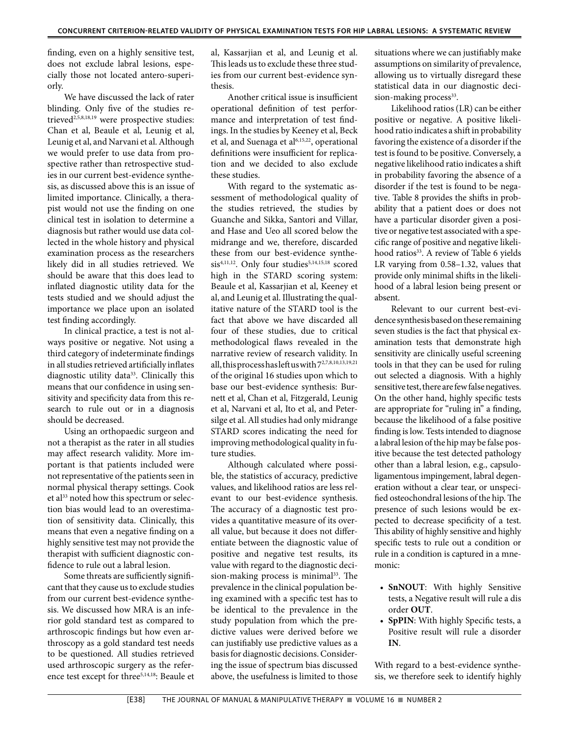finding, even on a highly sensitive test, does not exclude labral lesions, especially those not located antero-superiorly.

We have discussed the lack of rater blinding. Only five of the studies retrieved<sup>2,5,8,18,19</sup> were prospective studies: Chan et al, Beaule et al, Leunig et al, Leunig et al, and Narvani et al. Although we would prefer to use data from prospective rather than retrospective studies in our current best-evidence synthesis, as discussed above this is an issue of limited importance. Clinically, a therapist would not use the finding on one clinical test in isolation to determine a diagnosis but rather would use data collected in the whole history and physical examination process as the researchers likely did in all studies retrieved. We should be aware that this does lead to inflated diagnostic utility data for the tests studied and we should adjust the importance we place upon an isolated test finding accordingly.

In clinical practice, a test is not always positive or negative. Not using a third category of indeterminate findings in all studies retrieved artificially inflates diagnostic utility data<sup>33</sup>. Clinically this means that our confidence in using sensitivity and specificity data from this research to rule out or in a diagnosis should be decreased.

Using an orthopaedic surgeon and not a therapist as the rater in all studies may affect research validity. More important is that patients included were not representative of the patients seen in normal physical therapy settings. Cook et al<sup>33</sup> noted how this spectrum or selection bias would lead to an overestimation of sensitivity data. Clinically, this means that even a negative finding on a highly sensitive test may not provide the therapist with sufficient diagnostic confidence to rule out a labral lesion.

Some threats are sufficiently significant that they cause us to exclude studies from our current best-evidence synthesis. We discussed how MRA is an inferior gold standard test as compared to arthroscopic findings but how even arthroscopy as a gold standard test needs to be questioned. All studies retrieved used arthroscopic surgery as the reference test except for three<sup>5,14,18</sup>: Beaule et al, Kassarjian et al, and Leunig et al. This leads us to exclude these three studies from our current best-evidence synthesis.

Another critical issue is insufficient operational definition of test performance and interpretation of test findings. In the studies by Keeney et al, Beck et al, and Suenaga et al<sup>6,15,22</sup>, operational definitions were insufficient for replication and we decided to also exclude these studies.

With regard to the systematic assessment of methodological quality of the studies retrieved, the studies by Guanche and Sikka, Santori and Villar, and Hase and Ueo all scored below the midrange and we, therefore, discarded these from our best-evidence synthesis<sup>4,11,12</sup>. Only four studies<sup>5,14,15,18</sup> scored high in the STARD scoring system: Beaule et al, Kassarjian et al, Keeney et al, and Leunig et al. Illustrating the qualitative nature of the STARD tool is the fact that above we have discarded all four of these studies, due to critical methodological flaws revealed in the narrative review of research validity. In all, this process has left us with 72,7,8,10,13,19,21 of the original 16 studies upon which to base our best-evidence synthesis: Burnett et al, Chan et al, Fitzgerald, Leunig et al, Narvani et al, Ito et al, and Petersilge et al. All studies had only midrange STARD scores indicating the need for improving methodological quality in future studies.

Although calculated where possible, the statistics of accuracy, predictive values, and likelihood ratios are less relevant to our best-evidence synthesis. The accuracy of a diagnostic test provides a quantitative measure of its overall value, but because it does not differentiate between the diagnostic value of positive and negative test results, its value with regard to the diagnostic decision-making process is minimal<sup>33</sup>. The prevalence in the clinical population being examined with a specific test has to be identical to the prevalence in the study population from which the predictive values were derived before we can justifiably use predictive values as a basis for diagnostic decisions. Considering the issue of spectrum bias discussed above, the usefulness is limited to those

situations where we can justifiably make assumptions on similarity of prevalence, allowing us to virtually disregard these statistical data in our diagnostic decision-making process<sup>33</sup>.

Likelihood ratios (LR) can be either positive or negative. A positive likelihood ratio indicates a shift in probability favoring the existence of a disorder if the test is found to be positive. Conversely, a negative likelihood ratio indicates a shift in probability favoring the absence of a disorder if the test is found to be negative. Table 8 provides the shifts in probability that a patient does or does not have a particular disorder given a positive or negative test associated with a specific range of positive and negative likelihood ratios<sup>33</sup>. A review of Table 6 yields LR varying from 0.58–1.32, values that provide only minimal shifts in the likelihood of a labral lesion being present or absent.

Relevant to our current best-evidence synthesis based on these remaining seven studies is the fact that physical examination tests that demonstrate high sensitivity are clinically useful screening tools in that they can be used for ruling out selected a diagnosis. With a highly sensitive test, there are few false negatives. On the other hand, highly specific tests are appropriate for "ruling in" a finding, because the likelihood of a false positive finding is low. Tests intended to diagnose a labral lesion of the hip may be false positive because the test detected pathology other than a labral lesion, e.g., capsuloligamentous impingement, labral degeneration without a clear tear, or unspecified osteochondral lesions of the hip. The presence of such lesions would be expected to decrease specificity of a test. This ability of highly sensitive and highly specific tests to rule out a condition or rule in a condition is captured in a mnemonic:

- **SnNOUT**: With highly Sensitive tests, a Negative result will rule a dis order **OUT**.
- **SpPIN**: With highly Specific tests, a Positive result will rule a disorder **IN**.

With regard to a best-evidence synthesis, we therefore seek to identify highly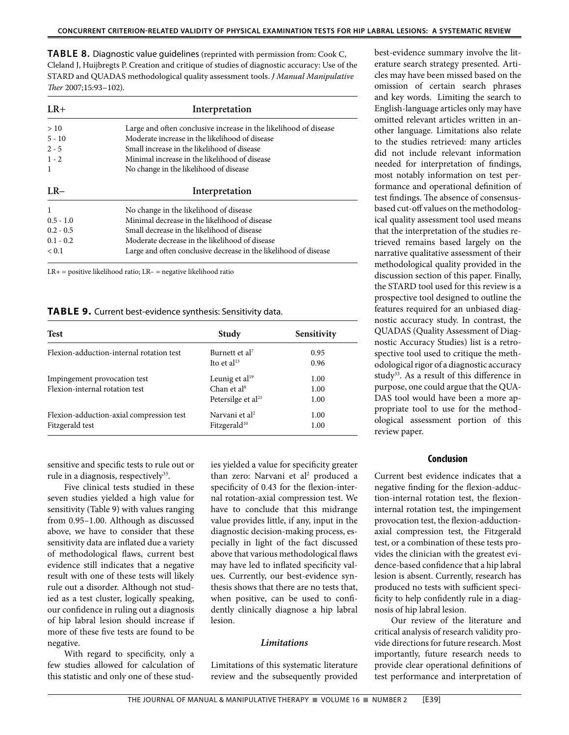TABLE 8. Diagnostic value guidelines (reprinted with permission from: Cook C, Cleland J, Huijbregts P. Creation and critique of studies of diagnostic accuracy: Use of the STARD and QUADAS methodological quality assessment tools. *J Manual Manipulative Ther* 2007;15:93–102).

| $LR+$       | Interpretation                                                   |
|-------------|------------------------------------------------------------------|
| >10         | Large and often conclusive increase in the likelihood of disease |
| $5 - 10$    | Moderate increase in the likelihood of disease                   |
| $2 - 5$     | Small increase in the likelihood of disease                      |
| $1 - 2$     | Minimal increase in the likelihood of disease                    |
|             | No change in the likelihood of disease                           |
| $LR-$       | Interpretation                                                   |
| 1           | No change in the likelihood of disease                           |
| $0.5 - 1.0$ | Minimal decrease in the likelihood of disease                    |
| $0.2 - 0.5$ | Small decrease in the likelihood of disease                      |
| $0.1 - 0.2$ | Moderate decrease in the likelihood of disease                   |
| < 0.1       |                                                                  |

LR+ = positive likelihood ratio; LR– = negative likelihood ratio

**TABLE 9.** Current best-evidence synthesis: Sensitivity data.

| <b>Test</b>                              | Study                          | Sensitivity |
|------------------------------------------|--------------------------------|-------------|
| Flexion-adduction-internal rotation test | Burnett et al <sup>7</sup>     | 0.95        |
|                                          | Ito et al $^{13}$              | 0.96        |
| Impingement provocation test             | Leunig et al <sup>19</sup>     | 1.00        |
| Flexion-internal rotation test           | Chan et $al8$                  | 1.00        |
|                                          | Petersilge et al <sup>21</sup> | 1.00        |
| Flexion-adduction-axial compression test | Narvani et al <sup>2</sup>     | 1.00        |
| Fitzgerald test                          | Fitzgerald <sup>10</sup>       | 1.00        |

sensitive and specific tests to rule out or rule in a diagnosis, respectively<sup>33</sup>.

Five clinical tests studied in these seven studies yielded a high value for sensitivity (Table 9) with values ranging from 0.95–1.00. Although as discussed above, we have to consider that these sensitivity data are inflated due a variety of methodological flaws, current best evidence still indicates that a negative result with one of these tests will likely rule out a disorder. Although not studied as a test cluster, logically speaking, our confidence in ruling out a diagnosis of hip labral lesion should increase if more of these five tests are found to be negative.

With regard to specificity, only a few studies allowed for calculation of this statistic and only one of these studies yielded a value for specificity greater than zero: Narvani et al<sup>2</sup> produced a specificity of 0.43 for the flexion-internal rotation-axial compression test. We have to conclude that this midrange value provides little, if any, input in the diagnostic decision-making process, especially in light of the fact discussed above that various methodological flaws may have led to inflated specificity values. Currently, our best-evidence synthesis shows that there are no tests that, when positive, can be used to confidently clinically diagnose a hip labral lesion.

#### *Limitations*

Limitations of this systematic literature review and the subsequently provided best-evidence summary involve the literature search strategy presented. Articles may have been missed based on the omission of certain search phrases and key words. Limiting the search to English-language articles only may have omitted relevant articles written in another language. Limitations also relate to the studies retrieved: many articles did not include relevant information needed for interpretation of findings, most notably information on test performance and operational definition of test findings. The absence of consensusbased cut-off values on the methodological quality assessment tool used means that the interpretation of the studies retrieved remains based largely on the narrative qualitative assessment of their methodological quality provided in the discussion section of this paper. Finally, the STARD tool used for this review is a prospective tool designed to outline the features required for an unbiased diagnostic accuracy study. In contrast, the QUADAS (Quality Assessment of Diagnostic Accuracy Studies) list is a retrospective tool used to critique the methodological rigor of a diagnostic accuracy study<sup>33</sup>. As a result of this difference in purpose, one could argue that the QUA-DAS tool would have been a more appropriate tool to use for the methodological assessment portion of this review paper.

#### **Conclusion**

Current best evidence indicates that a negative finding for the flexion-adduction-internal rotation test, the flexioninternal rotation test, the impingement provocation test, the flexion-adductionaxial compression test, the Fitzgerald test, or a combination of these tests provides the clinician with the greatest evidence-based confidence that a hip labral lesion is absent. Currently, research has produced no tests with sufficient specificity to help confidently rule in a diagnosis of hip labral lesion.

Our review of the literature and critical analysis of research validity provide directions for future research. Most importantly, future research needs to provide clear operational definitions of test performance and interpretation of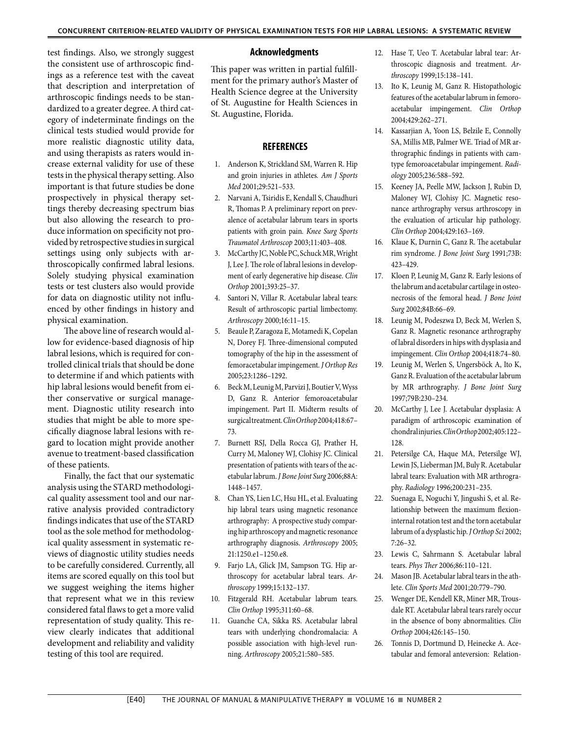test findings. Also, we strongly suggest the consistent use of arthroscopic findings as a reference test with the caveat that description and interpretation of arthroscopic findings needs to be standardized to a greater degree. A third category of indeterminate findings on the clinical tests studied would provide for more realistic diagnostic utility data, and using therapists as raters would increase external validity for use of these tests in the physical therapy setting. Also important is that future studies be done prospectively in physical therapy settings thereby decreasing spectrum bias but also allowing the research to produce information on specificity not provided by retrospective studies in surgical settings using only subjects with arthroscopically confirmed labral lesions. Solely studying physical examination tests or test clusters also would provide for data on diagnostic utility not influenced by other findings in history and physical examination.

The above line of research would allow for evidence-based diagnosis of hip labral lesions, which is required for controlled clinical trials that should be done to determine if and which patients with hip labral lesions would benefit from either conservative or surgical management. Diagnostic utility research into studies that might be able to more specifically diagnose labral lesions with regard to location might provide another avenue to treatment-based classification of these patients.

Finally, the fact that our systematic analysis using the STARD methodological quality assessment tool and our narrative analysis provided contradictory findings indicates that use of the STARD tool as the sole method for methodological quality assessment in systematic reviews of diagnostic utility studies needs to be carefully considered. Currently, all items are scored equally on this tool but we suggest weighing the items higher that represent what we in this review considered fatal flaws to get a more valid representation of study quality. This review clearly indicates that additional development and reliability and validity testing of this tool are required.

## **Acknowledgments**

This paper was written in partial fulfillment for the primary author's Master of Health Science degree at the University of St. Augustine for Health Sciences in St. Augustine, Florida.

#### **REFERENCES**

- 1. Anderson K, Strickland SM, Warren R. Hip and groin injuries in athletes*. Am J Sports Med* 2001;29:521–533.
- 2. Narvani A, Tsiridis E, Kendall S, Chaudhuri R, Thomas P. A preliminary report on prevalence of acetabular labrum tears in sports patients with groin pain*. Knee Surg Sports Traumatol Arthroscop* 2003;11:403–408.
- 3. McCarthy JC, Noble PC, Schuck MR, Wright J, Lee J. The role of labral lesions in development of early degenerative hip disease. *Clin Orthop* 2001;393:25–37.
- 4. Santori N, Villar R. Acetabular labral tears: Result of arthroscopic partial limbectomy. *Arthroscopy* 2000;16:11–15.
- 5. Beaule P, Zaragoza E, Motamedi K, Copelan N, Dorey FJ. Three-dimensional computed tomography of the hip in the assessment of femoracetabular impingement*. J Orthop Res* 2005;23:1286–1292.
- 6. Beck M, Leunig M, Parvizi J, Boutier V, Wyss D, Ganz R. Anterior femoroacetabular impingement. Part II. Midterm results of surgical treatment*.Clin Orthop* 2004;418:67– 73.
- 7. Burnett RSJ, Della Rocca GJ, Prather H, Curry M, Maloney WJ, Clohisy JC. Clinical presentation of patients with tears of the acetabular labrum. *J Bone Joint Surg* 2006;88A: 1448–1457.
- 8. Chan YS, Lien LC, Hsu HL, et al. Evaluating hip labral tears using magnetic resonance arthrography: A prospective study comparing hip arthroscopy and magnetic resonance arthrography diagnosis. *Arthroscopy* 2005; 21:1250.e1–1250.e8.
- 9. Farjo LA, Glick JM, Sampson TG. Hip arthroscopy for acetabular labral tears. *Arthroscopy* 1999;15:132–137.
- 10. Fitzgerald RH. Acetabular labrum tears. *Clin Orthop* 1995;311:60–68.
- 11. Guanche CA, Sikka RS. Acetabular labral tears with underlying chondromalacia: A possible association with high-level running. *Arthroscopy* 2005;21:580–585.
- 12. Hase T, Ueo T. Acetabular labral tear: Arthroscopic diagnosis and treatment. *Arthroscopy* 1999;15:138–141.
- 13. Ito K, Leunig M, Ganz R. Histopathologic features of the acetabular labrum in femoroacetabular impingement. *Clin Orthop* 2004;429:262–271.
- 14. Kassarjian A, Yoon LS, Belzile E, Connolly SA, Millis MB, Palmer WE. Triad of MR arthrographic findings in patients with camtype femoroacetabular impingement. *Radiology* 2005;236:588–592.
- 15. Keeney JA, Peelle MW, Jackson J, Rubin D, Maloney WJ, Clohisy JC. Magnetic resonance arthrography versus arthroscopy in the evaluation of articular hip pathology*. Clin Orthop* 2004;429:163–169.
- 16. Klaue K, Durnin C, Ganz R. The acetabular rim syndrome. *J Bone Joint Surg* 1991;73B: 423–429.
- 17. Kloen P, Leunig M, Ganz R. Early lesions of the labrum and acetabular cartilage in osteonecrosis of the femoral head. *J Bone Joint Surg* 2002;84B:66–69.
- 18. Leunig M, Podeszwa D, Beck M, Werlen S, Ganz R. Magnetic resonance arthrography of labral disorders in hips with dysplasia and impingement. *Clin Orthop* 2004;418:74–80.
- 19. Leunig M, Werlen S, Ungersböck A, Ito K, Ganz R. Evaluation of the acetabular labrum by MR arthrography*. J Bone Joint Surg* 1997;79B:230–234.
- 20. McCarthy J, Lee J. Acetabular dysplasia: A paradigm of arthroscopic examination of chondral injuries. *Clin Orthop* 2002;405:122– 128.
- 21. Petersilge CA, Haque MA, Petersilge WJ, Lewin JS, Lieberman JM, Buly R. Acetabular labral tears: Evaluation with MR arthrography. *Radiology* 1996;200:231–235.
- 22. Suenaga E, Noguchi Y, Jingushi S, et al. Relationship between the maximum flexioninternal rotation test and the torn acetabular labrum of a dysplastic hip. *J Orthop Sci* 2002; 7:26–32.
- 23. Lewis C, Sahrmann S. Acetabular labral tears. *Phys Ther* 2006;86:110–121.
- 24. Mason JB. Acetabular labral tears in the athlete. *Clin Sports Med* 2001;20:779–790.
- 25. Wenger DE, Kendell KR, Miner MR, Trousdale RT. Acetabular labral tears rarely occur in the absence of bony abnormalities. *Clin Orthop* 2004;426:145–150.
- 26. Tonnis D, Dortmund D, Heinecke A. Acetabular and femoral anteversion: Relation-